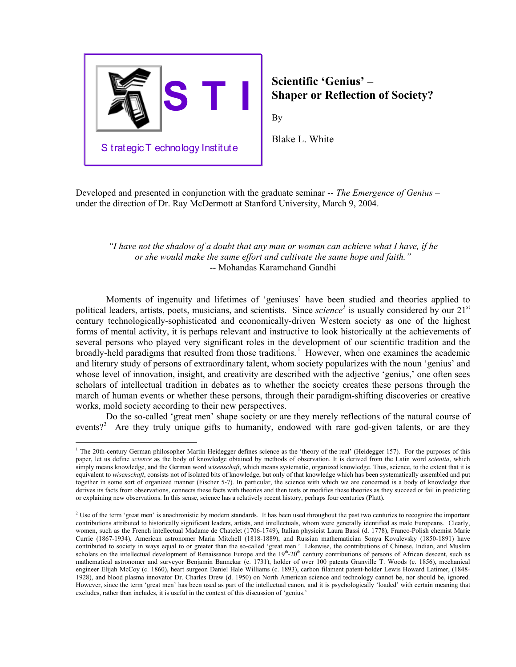

# **Scientific 'Genius' – Shaper or Reflection of Society?**

By

Blake L. White

Developed and presented in conjunction with the graduate seminar -- *The Emergence of Genius* – under the direction of Dr. Ray McDermott at Stanford University, March 9, 2004.

# *"I have not the shadow of a doubt that any man or woman can achieve what I have, if he or she would make the same effort and cultivate the same hope and faith."*  -- Mohandas Karamchand Gandhi

Moments of ingenuity and lifetimes of 'geniuses' have been studied and theories applied to politicalleaders, artists, poets, musicians, and scientists. Since *science*<sup>1</sup> is usually considered by our 21<sup>st</sup> century technologically-sophisticated and economically-driven Western society as one of the highest forms of mental activity, it is perhaps relevant and instructive to look historically at the achievements of several persons who played very significant roles in the development of our scientific tradition and the broadly-held paradigms that resulted from those traditions.<sup>1</sup> However, when one examines the academic and literary study of persons of extraordinary talent, whom society popularizes with the noun 'genius' and whose level of innovation, insight, and creativity are described with the adjective 'genius,' one often sees scholars of intellectual tradition in debates as to whether the society creates these persons through the march of human events or whether these persons, through their paradigm-shifting discoveries or creative works, mold society according to their new perspectives.

Do the so-called 'great men' shape society or are they merely reflections of the natural course of events?<sup>[2](#page-0-1)</sup> Are they truly unique gifts to humanity, endowed with rare god-given talents, or are they

<span id="page-0-0"></span> $\overline{a}$ <sup>1</sup> The 20th-century German philosopher Martin Heidegger defines science as the 'theory of the real' (Heidegger 157). For the purposes of this paper, let us define *science* as the body of knowledge obtained by methods of observation. It is derived from the Latin word *scientia*, which simply means knowledge, and the German word *wisenschaft*, which means systematic, organized knowledge. Thus, science, to the extent that it is equivalent to *wisenschaft*, consists not of isolated bits of knowledge, but only of that knowledge which has been systematically assembled and put together in some sort of organized manner (Fischer 5-7). In particular, the science with which we are concerned is a body of knowledge that derives its facts from observations, connects these facts with theories and then tests or modifies these theories as they succeed or fail in predicting or explaining new observations. In this sense, science has a relatively recent history, perhaps four centuries (Platt).

<span id="page-0-1"></span><sup>&</sup>lt;sup>2</sup> Use of the term 'great men' is anachronistic by modern standards. It has been used throughout the past two centuries to recognize the important contributions attributed to historically significant leaders, artists, and intellectuals, whom were generally identified as male Europeans. Clearly, women, such as the French intellectual Madame de Chatelet (1706-1749), Italian physicist Laura Bassi (d. 1778), Franco-Polish chemist Marie Currie (1867-1934), American astronomer Maria Mitchell (1818-1889), and Russian mathematician Sonya Kovalevsky (1850-1891) have contributed to society in ways equal to or greater than the so-called 'great men.' Likewise, the contributions of Chinese, Indian, and Muslim scholars on the intellectual development of Renaissance Europe and the 19<sup>th</sup>-20<sup>th</sup> century contributions of persons of African descent, such as mathematical astronomer and surveyor Benjamin Bannekar (c. 1731), holder of over 100 patents Granville T. Woods (c. 1856), mechanical engineer Elijah McCoy (c. 1860), heart surgeon Daniel Hale Williams (c. 1893), carbon filament patent-holder Lewis Howard Latimer, (1848- 1928), and blood plasma innovator Dr. Charles Drew (d. 1950) on North American science and technology cannot be, nor should be, ignored. However, since the term 'great men' has been used as part of the intellectual canon, and it is psychologically 'loaded' with certain meaning that excludes, rather than includes, it is useful in the context of this discussion of 'genius.'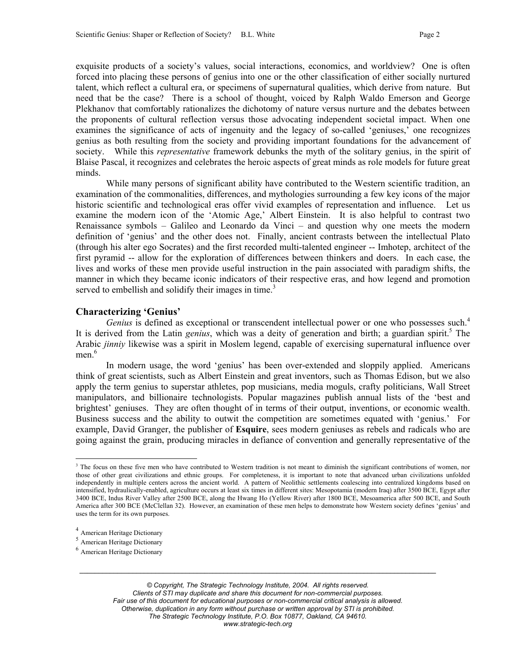exquisite products of a society's values, social interactions, economics, and worldview? One is often forced into placing these persons of genius into one or the other classification of either socially nurtured talent, which reflect a cultural era, or specimens of supernatural qualities, which derive from nature. But need that be the case? There is a school of thought, voiced by Ralph Waldo Emerson and George Plekhanov that comfortably rationalizes the dichotomy of nature versus nurture and the debates between the proponents of cultural reflection versus those advocating independent societal impact. When one examines the significance of acts of ingenuity and the legacy of so-called 'geniuses,' one recognizes genius as both resulting from the society and providing important foundations for the advancement of society. While this *representative* framework debunks the myth of the solitary genius, in the spirit of Blaise Pascal, it recognizes and celebrates the heroic aspects of great minds as role models for future great minds.

While many persons of significant ability have contributed to the Western scientific tradition, an examination of the commonalities, differences, and mythologies surrounding a few key icons of the major historic scientific and technological eras offer vivid examples of representation and influence. Let us examine the modern icon of the 'Atomic Age,' Albert Einstein. It is also helpful to contrast two Renaissance symbols – Galileo and Leonardo da Vinci – and question why one meets the modern definition of 'genius' and the other does not. Finally, ancient contrasts between the intellectual Plato (through his alter ego Socrates) and the first recorded multi-talented engineer -- Imhotep, architect of the first pyramid -- allow for the exploration of differences between thinkers and doers. In each case, the lives and works of these men provide useful instruction in the pain associated with paradigm shifts, the manner in which they became iconic indicators of their respective eras, and how legend and promotion served to embellish and solidify their images in time.<sup>[3](#page-1-0)</sup>

# **Characterizing 'Genius'**

*Genius* is defined as exceptional or transcendent intellectual power or one who possesses such.<sup>[4](#page-1-1)</sup> It is derived from the Latin *genius*, which was a deity of generation and birth; a guardian spirit.<sup>5</sup> The Arabic *jinniy* likewise was a spirit in Moslem legend, capable of exercising supernatural influence over men.<sup>[6](#page-1-3)</sup>

In modern usage, the word 'genius' has been over-extended and sloppily applied. Americans think of great scientists, such as Albert Einstein and great inventors, such as Thomas Edison, but we also apply the term genius to superstar athletes, pop musicians, media moguls, crafty politicians, Wall Street manipulators, and billionaire technologists. Popular magazines publish annual lists of the 'best and brightest' geniuses. They are often thought of in terms of their output, inventions, or economic wealth. Business success and the ability to outwit the competition are sometimes equated with 'genius.' For example, David Granger, the publisher of **Esquire**, sees modern geniuses as rebels and radicals who are going against the grain, producing miracles in defiance of convention and generally representative of the

 $\overline{a}$ 

<span id="page-1-0"></span><sup>&</sup>lt;sup>3</sup> The focus on these five men who have contributed to Western tradition is not meant to diminish the significant contributions of women, nor those of other great civilizations and ethnic groups. For completeness, it is important to note that advanced urban civilizations unfolded independently in multiple centers across the ancient world. A pattern of Neolithic settlements coalescing into centralized kingdoms based on intensified, hydraulically-enabled, agriculture occurs at least six times in different sites: Mesopotamia (modern Iraq) after 3500 BCE, Egypt after 3400 BCE, Indus River Valley after 2500 BCE, along the Hwang Ho (Yellow River) after 1800 BCE, Mesoamerica after 500 BCE, and South America after 300 BCE (McClellan 32). However, an examination of these men helps to demonstrate how Western society defines 'genius' and uses the term for its own purposes.

<span id="page-1-1"></span><sup>4</sup> American Heritage Dictionary

<span id="page-1-2"></span><sup>5</sup> American Heritage Dictionary

<span id="page-1-3"></span><sup>6</sup> American Heritage Dictionary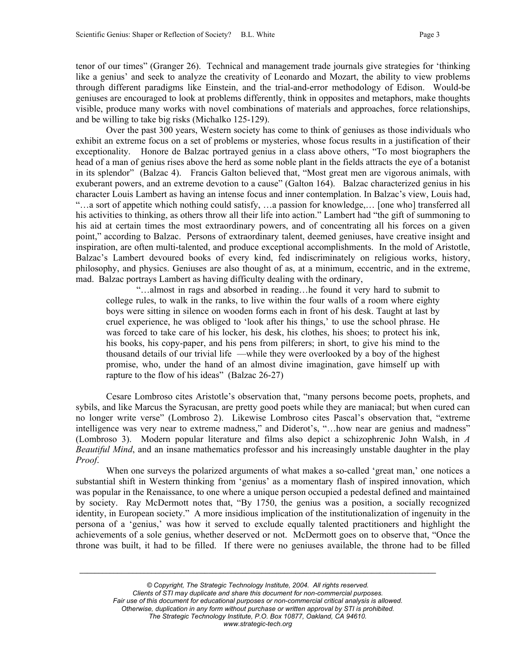tenor of our times" (Granger 26). Technical and management trade journals give strategies for 'thinking like a genius' and seek to analyze the creativity of Leonardo and Mozart, the ability to view problems through different paradigms like Einstein, and the trial-and-error methodology of Edison. Would-be geniuses are encouraged to look at problems differently, think in opposites and metaphors, make thoughts visible, produce many works with novel combinations of materials and approaches, force relationships, and be willing to take big risks (Michalko 125-129).

Over the past 300 years, Western society has come to think of geniuses as those individuals who exhibit an extreme focus on a set of problems or mysteries, whose focus results in a justification of their exceptionality. Honore de Balzac portrayed genius in a class above others, "To most biographers the head of a man of genius rises above the herd as some noble plant in the fields attracts the eye of a botanist in its splendor" (Balzac 4). Francis Galton believed that, "Most great men are vigorous animals, with exuberant powers, and an extreme devotion to a cause" (Galton 164). Balzac characterized genius in his character Louis Lambert as having an intense focus and inner contemplation. In Balzac's view, Louis had, "…a sort of appetite which nothing could satisfy, …a passion for knowledge,… [one who] transferred all his activities to thinking, as others throw all their life into action." Lambert had "the gift of summoning to his aid at certain times the most extraordinary powers, and of concentrating all his forces on a given point," according to Balzac. Persons of extraordinary talent, deemed geniuses, have creative insight and inspiration, are often multi-talented, and produce exceptional accomplishments. In the mold of Aristotle, Balzac's Lambert devoured books of every kind, fed indiscriminately on religious works, history, philosophy, and physics. Geniuses are also thought of as, at a minimum, eccentric, and in the extreme, mad. Balzac portrays Lambert as having difficulty dealing with the ordinary,

"…almost in rags and absorbed in reading…he found it very hard to submit to college rules, to walk in the ranks, to live within the four walls of a room where eighty boys were sitting in silence on wooden forms each in front of his desk. Taught at last by cruel experience, he was obliged to 'look after his things,' to use the school phrase. He was forced to take care of his locker, his desk, his clothes, his shoes; to protect his ink, his books, his copy-paper, and his pens from pilferers; in short, to give his mind to the thousand details of our trivial life —while they were overlooked by a boy of the highest promise, who, under the hand of an almost divine imagination, gave himself up with rapture to the flow of his ideas" (Balzac 26-27)

Cesare Lombroso cites Aristotle's observation that, "many persons become poets, prophets, and sybils, and like Marcus the Syracusan, are pretty good poets while they are maniacal; but when cured can no longer write verse" (Lombroso 2). Likewise Lombroso cites Pascal's observation that, "extreme intelligence was very near to extreme madness," and Diderot's, "…how near are genius and madness" (Lombroso 3). Modern popular literature and films also depict a schizophrenic John Walsh, in *A Beautiful Mind*, and an insane mathematics professor and his increasingly unstable daughter in the play *Proof*.

When one surveys the polarized arguments of what makes a so-called 'great man,' one notices a substantial shift in Western thinking from 'genius' as a momentary flash of inspired innovation, which was popular in the Renaissance, to one where a unique person occupied a pedestal defined and maintained by society. Ray McDermott notes that, "By 1750, the genius was a position, a socially recognized identity, in European society." A more insidious implication of the institutionalization of ingenuity in the persona of a 'genius,' was how it served to exclude equally talented practitioners and highlight the achievements of a sole genius, whether deserved or not. McDermott goes on to observe that, "Once the throne was built, it had to be filled. If there were no geniuses available, the throne had to be filled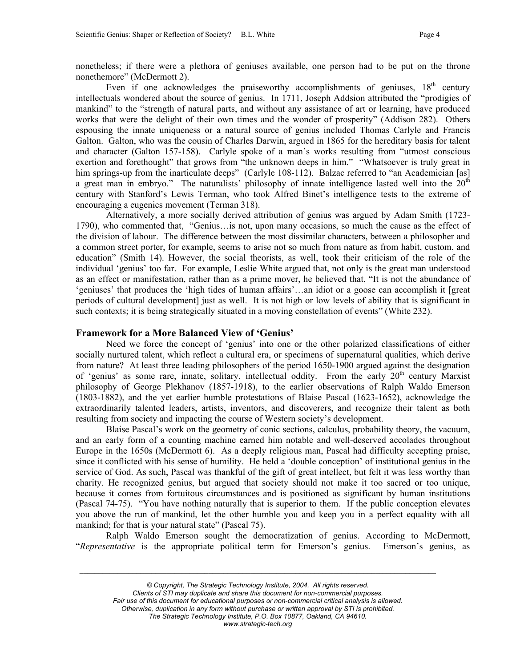nonetheless; if there were a plethora of geniuses available, one person had to be put on the throne nonethemore" (McDermott 2).

Even if one acknowledges the praiseworthy accomplishments of geniuses,  $18<sup>th</sup>$  century intellectuals wondered about the source of genius. In 1711, Joseph Addsion attributed the "prodigies of mankind" to the "strength of natural parts, and without any assistance of art or learning, have produced works that were the delight of their own times and the wonder of prosperity" (Addison 282). Others espousing the innate uniqueness or a natural source of genius included Thomas Carlyle and Francis Galton. Galton, who was the cousin of Charles Darwin, argued in 1865 for the hereditary basis for talent and character (Galton 157-158). Carlyle spoke of a man's works resulting from "utmost conscious exertion and forethought" that grows from "the unknown deeps in him." "Whatsoever is truly great in him springs-up from the inarticulate deeps" (Carlyle 108-112). Balzac referred to "an Academician [as] a great man in embryo." The naturalists' philosophy of innate intelligence lasted well into the 20<sup>th</sup> century with Stanford's Lewis Terman, who took Alfred Binet's intelligence tests to the extreme of encouraging a eugenics movement (Terman 318).

Alternatively, a more socially derived attribution of genius was argued by Adam Smith (1723- 1790), who commented that, "Genius…is not, upon many occasions, so much the cause as the effect of the division of labour. The difference between the most dissimilar characters, between a philosopher and a common street porter, for example, seems to arise not so much from nature as from habit, custom, and education" (Smith 14). However, the social theorists, as well, took their criticism of the role of the individual 'genius' too far. For example, Leslie White argued that, not only is the great man understood as an effect or manifestation, rather than as a prime mover, he believed that, "It is not the abundance of 'geniuses' that produces the 'high tides of human affairs'…an idiot or a goose can accomplish it [great periods of cultural development] just as well. It is not high or low levels of ability that is significant in such contexts; it is being strategically situated in a moving constellation of events" (White 232).

# **Framework for a More Balanced View of 'Genius'**

Need we force the concept of 'genius' into one or the other polarized classifications of either socially nurtured talent, which reflect a cultural era, or specimens of supernatural qualities, which derive from nature? At least three leading philosophers of the period 1650-1900 argued against the designation of 'genius' as some rare, innate, solitary, intellectual oddity. From the early  $20<sup>th</sup>$  century Marxist philosophy of George Plekhanov (1857-1918), to the earlier observations of Ralph Waldo Emerson (1803-1882), and the yet earlier humble protestations of Blaise Pascal (1623-1652), acknowledge the extraordinarily talented leaders, artists, inventors, and discoverers, and recognize their talent as both resulting from society and impacting the course of Western society's development.

Blaise Pascal's work on the geometry of conic sections, calculus, probability theory, the vacuum, and an early form of a counting machine earned him notable and well-deserved accolades throughout Europe in the 1650s (McDermott 6). As a deeply religious man, Pascal had difficulty accepting praise, since it conflicted with his sense of humility. He held a 'double conception' of institutional genius in the service of God. As such, Pascal was thankful of the gift of great intellect, but felt it was less worthy than charity. He recognized genius, but argued that society should not make it too sacred or too unique, because it comes from fortuitous circumstances and is positioned as significant by human institutions (Pascal 74-75). "You have nothing naturally that is superior to them. If the public conception elevates you above the run of mankind, let the other humble you and keep you in a perfect equality with all mankind; for that is your natural state" (Pascal 75).

Ralph Waldo Emerson sought the democratization of genius. According to McDermott, "*Representative* is the appropriate political term for Emerson's genius. Emerson's genius, as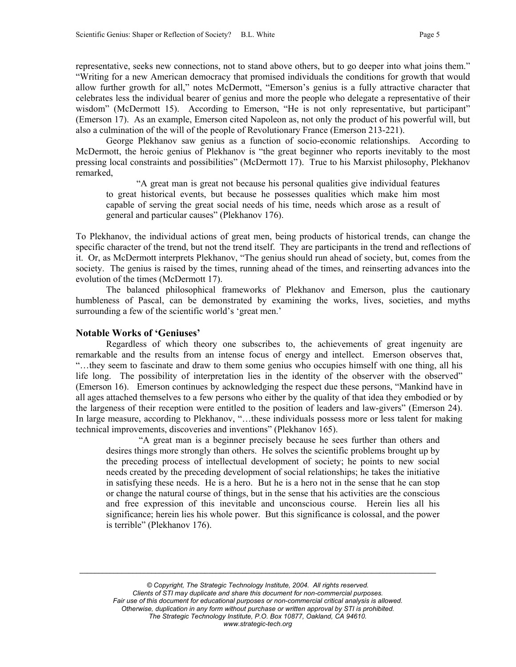representative, seeks new connections, not to stand above others, but to go deeper into what joins them." "Writing for a new American democracy that promised individuals the conditions for growth that would allow further growth for all," notes McDermott, "Emerson's genius is a fully attractive character that celebrates less the individual bearer of genius and more the people who delegate a representative of their wisdom" (McDermott 15). According to Emerson, "He is not only representative, but participant" (Emerson 17). As an example, Emerson cited Napoleon as, not only the product of his powerful will, but also a culmination of the will of the people of Revolutionary France (Emerson 213-221).

George Plekhanov saw genius as a function of socio-economic relationships. According to McDermott, the heroic genius of Plekhanov is "the great beginner who reports inevitably to the most pressing local constraints and possibilities" (McDermott 17). True to his Marxist philosophy, Plekhanov remarked,

"A great man is great not because his personal qualities give individual features to great historical events, but because he possesses qualities which make him most capable of serving the great social needs of his time, needs which arose as a result of general and particular causes" (Plekhanov 176).

To Plekhanov, the individual actions of great men, being products of historical trends, can change the specific character of the trend, but not the trend itself. They are participants in the trend and reflections of it. Or, as McDermott interprets Plekhanov, "The genius should run ahead of society, but, comes from the society. The genius is raised by the times, running ahead of the times, and reinserting advances into the evolution of the times (McDermott 17).

The balanced philosophical frameworks of Plekhanov and Emerson, plus the cautionary humbleness of Pascal, can be demonstrated by examining the works, lives, societies, and myths surrounding a few of the scientific world's 'great men.'

# **Notable Works of 'Geniuses'**

Regardless of which theory one subscribes to, the achievements of great ingenuity are remarkable and the results from an intense focus of energy and intellect. Emerson observes that, "…they seem to fascinate and draw to them some genius who occupies himself with one thing, all his life long. The possibility of interpretation lies in the identity of the observer with the observed" (Emerson 16). Emerson continues by acknowledging the respect due these persons, "Mankind have in all ages attached themselves to a few persons who either by the quality of that idea they embodied or by the largeness of their reception were entitled to the position of leaders and law-givers" (Emerson 24). In large measure, according to Plekhanov, "…these individuals possess more or less talent for making technical improvements, discoveries and inventions" (Plekhanov 165).

"A great man is a beginner precisely because he sees further than others and desires things more strongly than others. He solves the scientific problems brought up by the preceding process of intellectual development of society; he points to new social needs created by the preceding development of social relationships; he takes the initiative in satisfying these needs. He is a hero. But he is a hero not in the sense that he can stop or change the natural course of things, but in the sense that his activities are the conscious and free expression of this inevitable and unconscious course. Herein lies all his significance; herein lies his whole power. But this significance is colossal, and the power is terrible" (Plekhanov 176).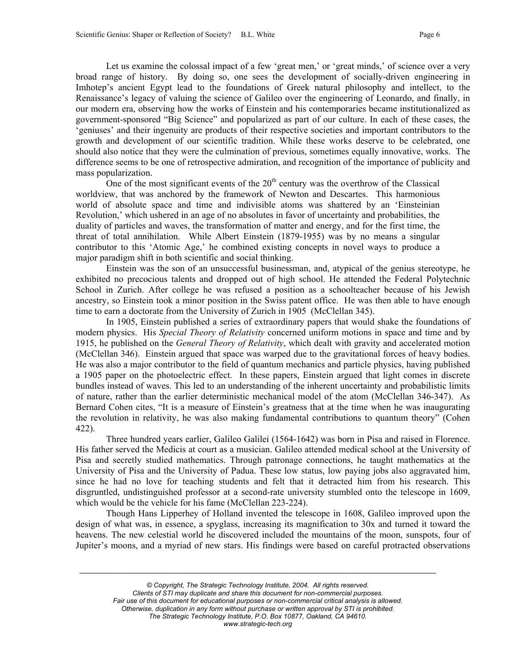Let us examine the colossal impact of a few 'great men,' or 'great minds,' of science over a very broad range of history. By doing so, one sees the development of socially-driven engineering in Imhotep's ancient Egypt lead to the foundations of Greek natural philosophy and intellect, to the Renaissance's legacy of valuing the science of Galileo over the engineering of Leonardo, and finally, in our modern era, observing how the works of Einstein and his contemporaries became institutionalized as government-sponsored "Big Science" and popularized as part of our culture. In each of these cases, the 'geniuses' and their ingenuity are products of their respective societies and important contributors to the growth and development of our scientific tradition. While these works deserve to be celebrated, one should also notice that they were the culmination of previous, sometimes equally innovative, works. The difference seems to be one of retrospective admiration, and recognition of the importance of publicity and mass popularization.

One of the most significant events of the  $20<sup>th</sup>$  century was the overthrow of the Classical worldview, that was anchored by the framework of Newton and Descartes. This harmonious world of absolute space and time and indivisible atoms was shattered by an 'Einsteinian Revolution,' which ushered in an age of no absolutes in favor of uncertainty and probabilities, the duality of particles and waves, the transformation of matter and energy, and for the first time, the threat of total annihilation. While Albert Einstein (1879-1955) was by no means a singular contributor to this 'Atomic Age,' he combined existing concepts in novel ways to produce a major paradigm shift in both scientific and social thinking.

Einstein was the son of an unsuccessful businessman, and, atypical of the genius stereotype, he exhibited no precocious talents and dropped out of high school. He attended the Federal Polytechnic School in Zurich. After college he was refused a position as a schoolteacher because of his Jewish ancestry, so Einstein took a minor position in the Swiss patent office. He was then able to have enough time to earn a doctorate from the University of Zurich in 1905 (McClellan 345).

In 1905, Einstein published a series of extraordinary papers that would shake the foundations of modern physics. His *Special Theory of Relativity* concerned uniform motions in space and time and by 1915, he published on the *General Theory of Relativity*, which dealt with gravity and accelerated motion (McClellan 346). Einstein argued that space was warped due to the gravitational forces of heavy bodies. He was also a major contributor to the field of quantum mechanics and particle physics, having published a 1905 paper on the photoelectric effect. In these papers, Einstein argued that light comes in discrete bundles instead of waves. This led to an understanding of the inherent uncertainty and probabilistic limits of nature, rather than the earlier deterministic mechanical model of the atom (McClellan 346-347). As Bernard Cohen cites, "It is a measure of Einstein's greatness that at the time when he was inaugurating the revolution in relativity, he was also making fundamental contributions to quantum theory" (Cohen 422).

Three hundred years earlier, Galileo Galilei (1564-1642) was born in Pisa and raised in Florence. His father served the Medicis at court as a musician. Galileo attended medical school at the University of Pisa and secretly studied mathematics. Through patronage connections, he taught mathematics at the University of Pisa and the University of Padua. These low status, low paying jobs also aggravated him, since he had no love for teaching students and felt that it detracted him from his research. This disgruntled, undistinguished professor at a second-rate university stumbled onto the telescope in 1609, which would be the vehicle for his fame (McClellan 223-224).

Though Hans Lipperhey of Holland invented the telescope in 1608, Galileo improved upon the design of what was, in essence, a spyglass, increasing its magnification to 30x and turned it toward the heavens. The new celestial world he discovered included the mountains of the moon, sunspots, four of Jupiter's moons, and a myriad of new stars. His findings were based on careful protracted observations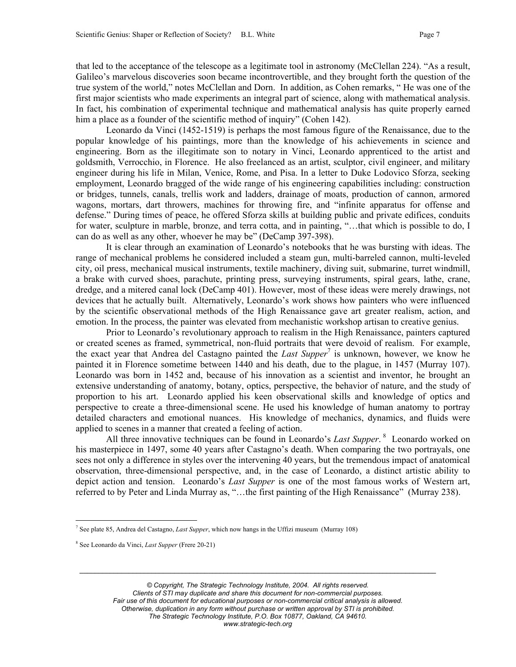that led to the acceptance of the telescope as a legitimate tool in astronomy (McClellan 224). "As a result, Galileo's marvelous discoveries soon became incontrovertible, and they brought forth the question of the true system of the world," notes McClellan and Dorn. In addition, as Cohen remarks, " He was one of the first major scientists who made experiments an integral part of science, along with mathematical analysis. In fact, his combination of experimental technique and mathematical analysis has quite properly earned him a place as a founder of the scientific method of inquiry" (Cohen 142).

Leonardo da Vinci (1452-1519) is perhaps the most famous figure of the Renaissance, due to the popular knowledge of his paintings, more than the knowledge of his achievements in science and engineering. Born as the illegitimate son to notary in Vinci, Leonardo apprenticed to the artist and goldsmith, Verrocchio, in Florence. He also freelanced as an artist, sculptor, civil engineer, and military engineer during his life in Milan, Venice, Rome, and Pisa. In a letter to Duke Lodovico Sforza, seeking employment, Leonardo bragged of the wide range of his engineering capabilities including: construction or bridges, tunnels, canals, trellis work and ladders, drainage of moats, production of cannon, armored wagons, mortars, dart throwers, machines for throwing fire, and "infinite apparatus for offense and defense." During times of peace, he offered Sforza skills at building public and private edifices, conduits for water, sculpture in marble, bronze, and terra cotta, and in painting, "…that which is possible to do, I can do as well as any other, whoever he may be" (DeCamp 397-398).

It is clear through an examination of Leonardo's notebooks that he was bursting with ideas. The range of mechanical problems he considered included a steam gun, multi-barreled cannon, multi-leveled city, oil press, mechanical musical instruments, textile machinery, diving suit, submarine, turret windmill, a brake with curved shoes, parachute, printing press, surveying instruments, spiral gears, lathe, crane, dredge, and a mitered canal lock (DeCamp 401). However, most of these ideas were merely drawings, not devices that he actually built. Alternatively, Leonardo's work shows how painters who were influenced by the scientific observational methods of the High Renaissance gave art greater realism, action, and emotion. In the process, the painter was elevated from mechanistic workshop artisan to creative genius.

Prior to Leonardo's revolutionary approach to realism in the High Renaissance, painters captured or created scenes as framed, symmetrical, non-fluid portraits that were devoid of realism. For example, the exact year that Andrea del Castagno painted the *Last Supper*[7](#page-6-0) is unknown, however, we know he painted it in Florence sometime between 1440 and his death, due to the plague, in 1457 (Murray 107). Leonardo was born in 1452 and, because of his innovation as a scientist and inventor, he brought an extensive understanding of anatomy, botany, optics, perspective, the behavior of nature, and the study of proportion to his art. Leonardo applied his keen observational skills and knowledge of optics and perspective to create a three-dimensional scene. He used his knowledge of human anatomy to portray detailed characters and emotional nuances. His knowledge of mechanics, dynamics, and fluids were applied to scenes in a manner that created a feeling of action.

All three innovative techniques can be found in Leonardo's *Last Supper*.<sup>8</sup> Leonardo worked on his masterpiece in 1497, some 40 years after Castagno's death. When comparing the two portrayals, one sees not only a difference in styles over the intervening 40 years, but the tremendous impact of anatomical observation, three-dimensional perspective, and, in the case of Leonardo, a distinct artistic ability to depict action and tension. Leonardo's *Last Supper* is one of the most famous works of Western art, referred to by Peter and Linda Murray as, "…the first painting of the High Renaissance" (Murray 238).

 $\overline{a}$ 

<span id="page-6-0"></span><sup>7</sup> See plate 85, Andrea del Castagno, *Last Supper*, which now hangs in the Uffizi museum (Murray 108)

<span id="page-6-1"></span><sup>8</sup> See Leonardo da Vinci, *Last Supper* (Frere 20-21)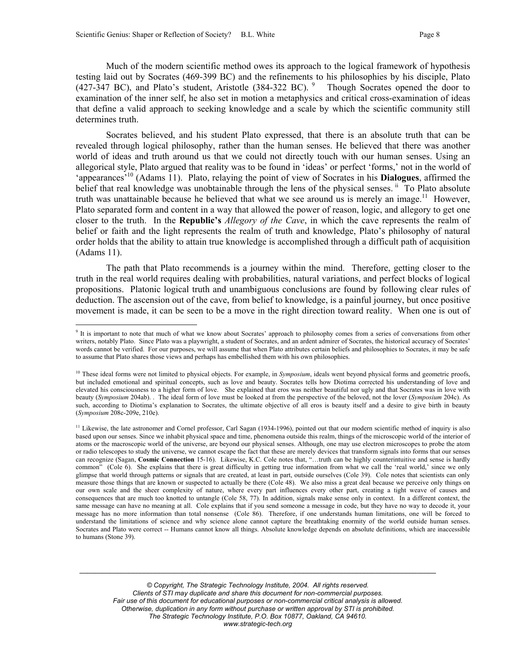Much of the modern scientific method owes its approach to the logical framework of hypothesis testing laid out by Socrates (469-399 BC) and the refinements to his philosophies by his disciple, Plato (427-347BC), and Plato's student, Aristotle (384-322 BC). <sup>9</sup> Though Socrates opened the door to examination of the inner self, he also set in motion a metaphysics and critical cross-examination of ideas that define a valid approach to seeking knowledge and a scale by which the scientific community still determines truth.

Socrates believed, and his student Plato expressed, that there is an absolute truth that can be revealed through logical philosophy, rather than the human senses. He believed that there was another world of ideas and truth around us that we could not directly touch with our human senses. Using an allegorical style, Plato argued that reality was to be found in 'ideas' or perfect 'forms,' not in the world of 'appearances'[10](#page-7-1) (Adams 11). Plato, relaying the point of view of Socrates in his **Dialogues**, affirmed the belief that real knowledge was unobtainable through the lens of the physical senses. <sup>ii</sup> To Plato absolute truth was unattainable because he believed that what we see around us is merely an image.<sup>11</sup> However, Plato separated form and content in a way that allowed the power of reason, logic, and allegory to get one closer to the truth. In the **Republic's** *Allegory of the Cave*, in which the cave represents the realm of belief or faith and the light represents the realm of truth and knowledge, Plato's philosophy of natural order holds that the ability to attain true knowledge is accomplished through a difficult path of acquisition (Adams 11).

The path that Plato recommends is a journey within the mind. Therefore, getting closer to the truth in the real world requires dealing with probabilities, natural variations, and perfect blocks of logical propositions. Platonic logical truth and unambiguous conclusions are found by following clear rules of deduction. The ascension out of the cave, from belief to knowledge, is a painful journey, but once positive movement is made, it can be seen to be a move in the right direction toward reality. When one is out of

<span id="page-7-0"></span><sup>&</sup>lt;sup>9</sup> It is important to note that much of what we know about Socrates' approach to philosophy comes from a series of conversations from other writers, notably Plato. Since Plato was a playwright, a student of Socrates, and an ardent admirer of Socrates, the historical accuracy of Socrates' words cannot be verified. For our purposes, we will assume that when Plato attributes certain beliefs and philosophies to Socrates, it may be safe to assume that Plato shares those views and perhaps has embellished them with his own philosophies.

<span id="page-7-1"></span><sup>&</sup>lt;sup>10</sup> These ideal forms were not limited to physical objects. For example, in *Symposium*, ideals went beyond physical forms and geometric proofs, but included emotional and spiritual concepts, such as love and beauty. Socrates tells how Diotima corrected his understanding of love and elevated his consciousness to a higher form of love. She explained that eros was neither beautiful nor ugly and that Socrates was in love with beauty (*Symposium* 204ab). . The ideal form of love must be looked at from the perspective of the beloved, not the lover (*Symposium* 204c). As such, according to Diotima's explanation to Socrates, the ultimate objective of all eros is beauty itself and a desire to give birth in beauty (*Symposium* 208c-209e, 210e).

<span id="page-7-2"></span><sup>&</sup>lt;sup>11</sup> Likewise, the late astronomer and Cornel professor, Carl Sagan (1934-1996), pointed out that our modern scientific method of inquiry is also based upon our senses. Since we inhabit physical space and time, phenomena outside this realm, things of the microscopic world of the interior of atoms or the macroscopic world of the universe, are beyond our physical senses. Although, one may use electron microscopes to probe the atom or radio telescopes to study the universe, we cannot escape the fact that these are merely devices that transform signals into forms that our senses can recognize (Sagan, **Cosmic Connection** 15-16). Likewise, K.C. Cole notes that, "…truth can be highly counterintuitive and sense is hardly common" (Cole 6). She explains that there is great difficulty in getting true information from what we call the 'real world,' since we only glimpse that world through patterns or signals that are created, at least in part, outside ourselves (Cole 39). Cole notes that scientists can only measure those things that are known or suspected to actually be there (Cole 48). We also miss a great deal because we perceive only things on our own scale and the sheer complexity of nature, where every part influences every other part, creating a tight weave of causes and consequences that are much too knotted to untangle (Cole 58, 77). In addition, signals make sense only in context. In a different context, the same message can have no meaning at all. Cole explains that if you send someone a message in code, but they have no way to decode it, your message has no more information than total nonsense (Cole 86). Therefore, if one understands human limitations, one will be forced to understand the limitations of science and why science alone cannot capture the breathtaking enormity of the world outside human senses. Socrates and Plato were correct -- Humans cannot know all things. Absolute knowledge depends on absolute definitions, which are inaccessible to humans (Stone 39).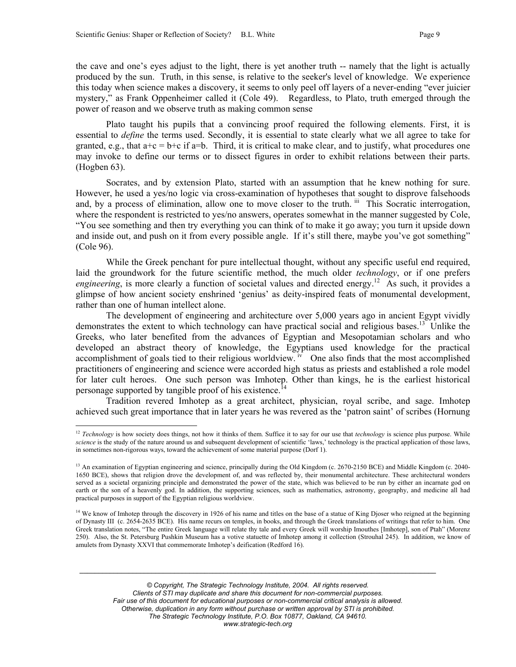the cave and one's eyes adjust to the light, there is yet another truth -- namely that the light is actually produced by the sun. Truth, in this sense, is relative to the seeker's level of knowledge. We experience this today when science makes a discovery, it seems to only peel off layers of a never-ending "ever juicier mystery," as Frank Oppenheimer called it (Cole 49). Regardless, to Plato, truth emerged through the power of reason and we observe truth as making common sense

Plato taught his pupils that a convincing proof required the following elements. First, it is essential to *define* the terms used. Secondly, it is essential to state clearly what we all agree to take for granted, e.g., that  $a+c=b+c$  if  $a=b$ . Third, it is critical to make clear, and to justify, what procedures one may invoke to define our terms or to dissect figures in order to exhibit relations between their parts. (Hogben 63).

Socrates, and by extension Plato, started with an assumption that he knew nothing for sure. However, he used a yes/no logic via cross-examination of hypotheses that sought to disprove falsehoods and, by a process of elimination, allow one to move closer to the truth. <sup>iii</sup> This Socratic interrogation, where the respondent is restricted to yes/no answers, operates somewhat in the manner suggested by Cole, "You see something and then try everything you can think of to make it go away; you turn it upside down and inside out, and push on it from every possible angle. If it's still there, maybe you've got something" (Cole 96).

While the Greek penchant for pure intellectual thought, without any specific useful end required, laid the groundwork for the future scientific method, the much older *technology*, or if one prefers engineering, is more clearly a function of societal values and directed energy.<sup>12</sup> As such, it provides a glimpse of how ancient society enshrined 'genius' as deity-inspired feats of monumental development, rather than one of human intellect alone.

The development of engineering and architecture over 5,000 years ago in ancient Egypt vividly demonstrates the extent to which technology can have practical social and religious bases.[13](#page-8-1) Unlike the Greeks, who later benefited from the advances of Egyptian and Mesopotamian scholars and who developed an abstract theory of knowledge, the Egyptians used knowledge for the practical accomplishment of goals tied to their religious worldview. <sup>iv</sup> One also finds that the most accomplished practitioners of engineering and science were accorded high status as priests and established a role model for later cult heroes. One such person was Imhotep. Other than kings, he is the earliest historical personage supported by tangible proof of his existence.<sup>1</sup>

Tradition revered Imhotep as a great architect, physician, royal scribe, and sage. Imhotep achieved such great importance that in later years he was revered as the 'patron saint' of scribes (Hornung

<span id="page-8-0"></span><sup>&</sup>lt;sup>12</sup> *Technology* is how society does things, not how it thinks of them. Suffice it to say for our use that *technology* is science plus purpose. While *science* is the study of the nature around us and subsequent development of scientific 'laws,' technology is the practical application of those laws, in sometimes non-rigorous ways, toward the achievement of some material purpose (Dorf 1).

<span id="page-8-1"></span><sup>&</sup>lt;sup>13</sup> An examination of Egyptian engineering and science, principally during the Old Kingdom (c. 2670-2150 BCE) and Middle Kingdom (c. 2040-1650 BCE), shows that religion drove the development of, and was reflected by, their monumental architecture. These architectural wonders served as a societal organizing principle and demonstrated the power of the state, which was believed to be run by either an incarnate god on earth or the son of a heavenly god. In addition, the supporting sciences, such as mathematics, astronomy, geography, and medicine all had practical purposes in support of the Egyptian religious worldview.

<span id="page-8-2"></span><sup>&</sup>lt;sup>14</sup> We know of Imhotep through the discovery in 1926 of his name and titles on the base of a statue of King Djoser who reigned at the beginning of Dynasty III (c. 2654-2635 BCE). His name recurs on temples, in books, and through the Greek translations of writings that refer to him. One Greek translation notes, "The entire Greek language will relate thy tale and every Greek will worship Imouthes [Imhotep], son of Ptah" (Morenz 250). Also, the St. Petersburg Pushkin Museum has a votive statuette of Imhotep among it collection (Strouhal 245). In addition, we know of amulets from Dynasty XXVI that commemorate Imhotep's deification (Redford 16).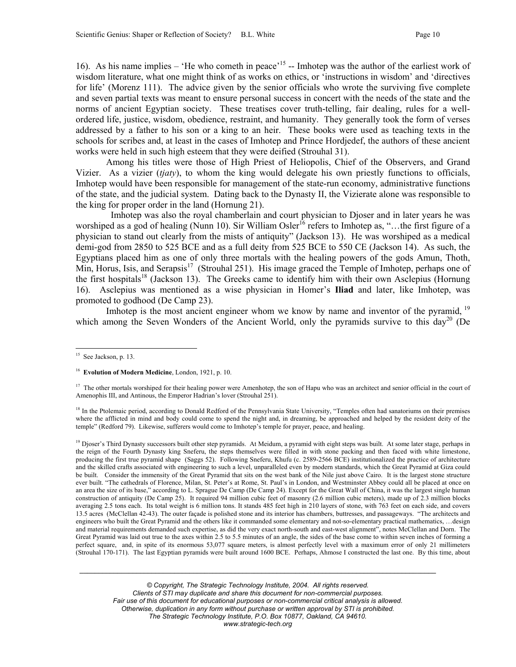<span id="page-9-4"></span>16). As his name implies – 'He who cometh in peace'[15](#page-9-0) -- Imhotep was the author of the earliest work of wisdom literature, what one might think of as works on ethics, or 'instructions in wisdom' and 'directives for life' (Morenz 111). The advice given by the senior officials who wrote the surviving five complete and seven partial texts was meant to ensure personal success in concert with the needs of the state and the norms of ancient Egyptian society. These treatises cover truth-telling, fair dealing, rules for a wellordered life, justice, wisdom, obedience, restraint, and humanity. They generally took the form of verses addressed by a father to his son or a king to an heir. These books were used as teaching texts in the schools for scribes and, at least in the cases of Imhotep and Prince Hordjedef, the authors of these ancient works were held in such high esteem that they were deified (Strouhal 31).

Among his titles were those of High Priest of Heliopolis, Chief of the Observers, and Grand Vizier. As a vizier (*tjaty*), to whom the king would delegate his own priestly functions to officials, Imhotep would have been responsible for management of the state-run economy, administrative functions of the state, and the judicial system. Dating back to the Dynasty II, the Vizierate alone was responsible to the king for proper order in the land (Hornung 21).

Imhotep was also the royal chamberlain and court physician to Djoser and in later years he was worshiped as a god of healing (Nunn 10). Sir William Osler<sup>16</sup> refers to Imhotep as, "...the first figure of a physician to stand out clearly from the mists of antiquity" (Jackson 13). He was worshiped as a medical demi-god from 2850 to 525 BCE and as a full deity from 525 BCE to 550 CE (Jackson 14). As such, the Egyptians placed him as one of only three mortals with the healing powers of the gods Amun, Thoth, Min, Horus, Isis, and Serapsis<sup>17</sup> (Strouhal 251). His image graced the Temple of Imhotep, perhaps one of the first hospitals<sup>18</sup> (Jackson 13). The Greeks came to identify him with their own Asclepius (Hornung 16). Asclepius was mentioned as a wise physician in Homer's **Iliad** and later, like Imhotep, was promoted to godhood (De Camp 23).

Imhotep is the most ancient engineer whom we know by name and inventor of the pyramid, <sup>[19](#page-9-4)</sup> which among the Seven Wonders of the Ancient World, only the pyramids survive to this day<sup>20</sup> (De

 $\overline{a}$ 

<span id="page-9-5"></span><sup>19</sup> Djoser's Third Dynasty successors built other step pyramids. At Meidum, a pyramid with eight steps was built. At some later stage, perhaps in the reign of the Fourth Dynasty king Sneferu, the steps themselves were filled in with stone packing and then faced with white limestone, producing the first true pyramid shape (Saggs 52). Following Sneferu, Khufu (c. 2589-2566 BCE) institutionalized the practice of architecture and the skilled crafts associated with engineering to such a level, unparalleled even by modern standards, which the Great Pyramid at Giza could be built. Consider the immensity of the Great Pyramid that sits on the west bank of the Nile just above Cairo. It is the largest stone structure ever built. "The cathedrals of Florence, Milan, St. Peter's at Rome, St. Paul's in London, and Westminster Abbey could all be placed at once on an area the size of its base," according to L. Sprague De Camp (De Camp 24). Except for the Great Wall of China, it was the largest single human construction of antiquity (De Camp 25). It required 94 million cubic feet of masonry (2.6 million cubic meters), made up of 2.3 million blocks averaging 2.5 tons each. Its total weight is 6 million tons. It stands 485 feet high in 210 layers of stone, with 763 feet on each side, and covers 13.5 acres (McClellan 42-43). The outer façade is polished stone and its interior has chambers, buttresses, and passageways. "The architects and engineers who built the Great Pyramid and the others like it commanded some elementary and not-so-elementary practical mathematics, …design and material requirements demanded such expertise, as did the very exact north-south and east-west alignment", notes McClellan and Dorn. The Great Pyramid was laid out true to the axes within 2.5 to 5.5 minutes of an angle, the sides of the base come to within seven inches of forming a perfect square, and, in spite of its enormous 53,077 square meters, is almost perfectly level with a maximum error of only 21 millimeters (Strouhal 170-171). The last Egyptian pyramids were built around 1600 BCE. Perhaps, Ahmose I constructed the last one. By this time, about

<span id="page-9-0"></span><sup>&</sup>lt;sup>15</sup> See Jackson, p. 13.

<span id="page-9-1"></span><sup>16</sup> **Evolution of Modern Medicine**, London, 1921, p. 10.

<span id="page-9-2"></span><sup>&</sup>lt;sup>17</sup> The other mortals worshiped for their healing power were Amenhotep, the son of Hapu who was an architect and senior official in the court of Amenophis III, and Antinous, the Emperor Hadrian's lover (Strouhal 251).

<span id="page-9-3"></span><sup>&</sup>lt;sup>18</sup> In the Ptolemaic period, according to Donald Redford of the Pennsylvania State University, "Temples often had sanatoriums on their premises where the afflicted in mind and body could come to spend the night and, in dreaming, be approached and helped by the resident deity of the temple" (Redford 79). Likewise, sufferers would come to Imhotep's temple for prayer, peace, and healing.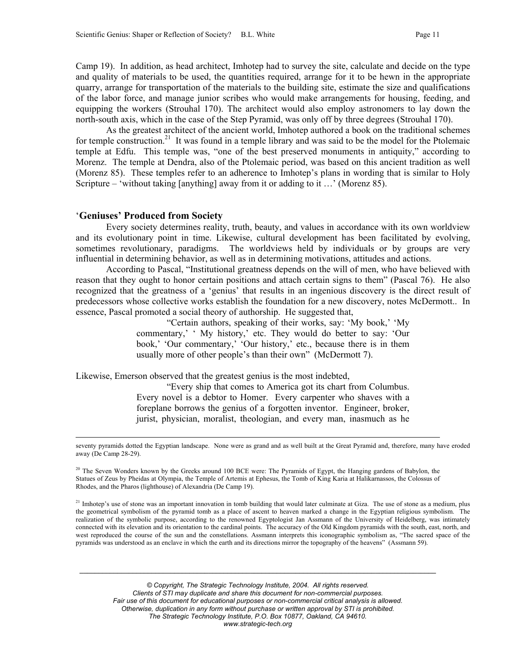Camp 19). In addition, as head architect, Imhotep had to survey the site, calculate and decide on the type and quality of materials to be used, the quantities required, arrange for it to be hewn in the appropriate quarry, arrange for transportation of the materials to the building site, estimate the size and qualifications of the labor force, and manage junior scribes who would make arrangements for housing, feeding, and equipping the workers (Strouhal 170). The architect would also employ astronomers to lay down the north-south axis, which in the case of the Step Pyramid, was only off by three degrees (Strouhal 170).

As the greatest architect of the ancient world, Imhotep authored a book on the traditional schemes for temple construction.<sup>21</sup> It was found in a temple library and was said to be the model for the Ptolemaic temple at Edfu. This temple was, "one of the best preserved monuments in antiquity," according to Morenz. The temple at Dendra, also of the Ptolemaic period, was based on this ancient tradition as well (Morenz 85). These temples refer to an adherence to Imhotep's plans in wording that is similar to Holy Scripture – 'without taking [anything] away from it or adding to it  $\ldots$  ' (Morenz 85).

### '**Geniuses' Produced from Society**

Every society determines reality, truth, beauty, and values in accordance with its own worldview and its evolutionary point in time. Likewise, cultural development has been facilitated by evolving, sometimes revolutionary, paradigms. The worldviews held by individuals or by groups are very influential in determining behavior, as well as in determining motivations, attitudes and actions.

According to Pascal, "Institutional greatness depends on the will of men, who have believed with reason that they ought to honor certain positions and attach certain signs to them" (Pascal 76). He also recognized that the greatness of a 'genius' that results in an ingenious discovery is the direct result of predecessors whose collective works establish the foundation for a new discovery, notes McDermott.. In essence, Pascal promoted a social theory of authorship. He suggested that,

> "Certain authors, speaking of their works, say: 'My book,' 'My commentary,' ' My history,' etc. They would do better to say: 'Our book,' 'Our commentary,' 'Our history,' etc., because there is in them usually more of other people's than their own" (McDermott 7).

Likewise, Emerson observed that the greatest genius is the most indebted,

"Every ship that comes to America got its chart from Columbus. Every novel is a debtor to Homer. Every carpenter who shaves with a foreplane borrows the genius of a forgotten inventor. Engineer, broker, jurist, physician, moralist, theologian, and every man, inasmuch as he

 seventy pyramids dotted the Egyptian landscape. None were as grand and as well built at the Great Pyramid and, therefore, many have eroded away (De Camp 28-29).

 $20$  The Seven Wonders known by the Greeks around 100 BCE were: The Pyramids of Egypt, the Hanging gardens of Babylon, the Statues of Zeus by Pheidas at Olympia, the Temple of Artemis at Ephesus, the Tomb of King Karia at Halikarnassos, the Colossus of Rhodes, and the Pharos (lighthouse) of Alexandria (De Camp 19).

<span id="page-10-0"></span><sup>21</sup> Imhotep's use of stone was an important innovation in tomb building that would later culminate at Giza. The use of stone as a medium, plus the geometrical symbolism of the pyramid tomb as a place of ascent to heaven marked a change in the Egyptian religious symbolism. The realization of the symbolic purpose, according to the renowned Egyptologist Jan Assmann of the University of Heidelberg, was intimately connected with its elevation and its orientation to the cardinal points. The accuracy of the Old Kingdom pyramids with the south, east, north, and west reproduced the course of the sun and the constellations. Assmann interprets this iconographic symbolism as, "The sacred space of the pyramids was understood as an enclave in which the earth and its directions mirror the topography of the heavens" (Assmann 59).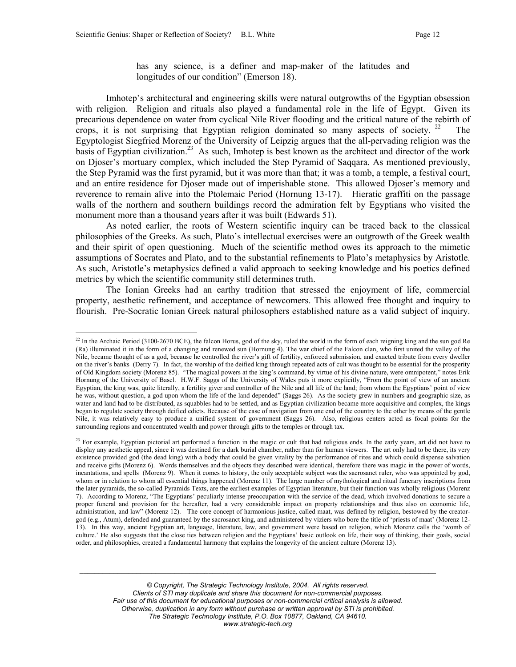has any science, is a definer and map-maker of the latitudes and longitudes of our condition" (Emerson 18).

Imhotep's architectural and engineering skills were natural outgrowths of the Egyptian obsession with religion. Religion and rituals also played a fundamental role in the life of Egypt. Given its precarious dependence on water from cyclical Nile River flooding and the critical nature of the rebirth of crops, it is not surprising that Egyptian religion dominated so many aspects of society.<sup>22</sup> The Egyptologist Siegfried Morenz of the University of Leipzig argues that the all-pervading religion was the basis of Egyptian civilization.<sup>23</sup> As such, Imhotep is best known as the architect and director of the work on Djoser's mortuary complex, which included the Step Pyramid of Saqqara. As mentioned previously, the Step Pyramid was the first pyramid, but it was more than that; it was a tomb, a temple, a festival court, and an entire residence for Djoser made out of imperishable stone. This allowed Djoser's memory and reverence to remain alive into the Ptolemaic Period (Hornung 13-17). Hieratic graffiti on the passage walls of the northern and southern buildings record the admiration felt by Egyptians who visited the monument more than a thousand years after it was built (Edwards 51).

As noted earlier, the roots of Western scientific inquiry can be traced back to the classical philosophies of the Greeks. As such, Plato's intellectual exercises were an outgrowth of the Greek wealth and their spirit of open questioning. Much of the scientific method owes its approach to the mimetic assumptions of Socrates and Plato, and to the substantial refinements to Plato's metaphysics by Aristotle. As such, Aristotle's metaphysics defined a valid approach to seeking knowledge and his poetics defined metrics by which the scientific community still determines truth.

The Ionian Greeks had an earthy tradition that stressed the enjoyment of life, commercial property, aesthetic refinement, and acceptance of newcomers. This allowed free thought and inquiry to flourish. Pre-Socratic Ionian Greek natural philosophers established nature as a valid subject of inquiry.

<span id="page-11-0"></span> $^{22}$  In the Archaic Period (3100-2670 BCE), the falcon Horus, god of the sky, ruled the world in the form of each reigning king and the sun god Re (Ra) illuminated it in the form of a changing and renewed sun (Hornung 4). The war chief of the Falcon clan, who first united the valley of the Nile, became thought of as a god, because he controlled the river's gift of fertility, enforced submission, and exacted tribute from every dweller on the river's banks (Derry 7). In fact, the worship of the deified king through repeated acts of cult was thought to be essential for the prosperity of Old Kingdom society (Morenz 85). "The magical powers at the king's command, by virtue of his divine nature, were omnipotent," notes Erik Hornung of the University of Basel. H.W.F. Saggs of the University of Wales puts it more explicitly, "From the point of view of an ancient Egyptian, the king was, quite literally, a fertility giver and controller of the Nile and all life of the land; from whom the Egyptians' point of view he was, without question, a god upon whom the life of the land depended" (Saggs 26). As the society grew in numbers and geographic size, as water and land had to be distributed, as squabbles had to be settled, and as Egyptian civilization became more acquisitive and complex, the kings began to regulate society through deified edicts. Because of the ease of navigation from one end of the country to the other by means of the gentle Nile, it was relatively easy to produce a unified system of government (Saggs 26). Also, religious centers acted as focal points for the surrounding regions and concentrated wealth and power through gifts to the temples or through tax.

<span id="page-11-1"></span> $23$  For example, Egyptian pictorial art performed a function in the magic or cult that had religious ends. In the early years, art did not have to display any aesthetic appeal, since it was destined for a dark burial chamber, rather than for human viewers. The art only had to be there, its very existence provided god (the dead king) with a body that could be given vitality by the performance of rites and which could dispense salvation and receive gifts (Morenz 6). Words themselves and the objects they described were identical, therefore there was magic in the power of words, incantations, and spells (Morenz 9). When it comes to history, the only acceptable subject was the sacrosanct ruler, who was appointed by god, whom or in relation to whom all essential things happened (Morenz 11). The large number of mythological and ritual funerary inscriptions from the later pyramids, the so-called Pyramids Texts, are the earliest examples of Egyptian literature, but their function was wholly religious (Morenz 7). According to Morenz, "The Egyptians' peculiarly intense preoccupation with the service of the dead, which involved donations to secure a proper funeral and provision for the hereafter, had a very considerable impact on property relationships and thus also on economic life, administration, and law" (Morenz 12). The core concept of harmonious justice, called maat, was defined by religion, bestowed by the creatorgod (e.g., Atum), defended and guaranteed by the sacrosanct king, and administered by viziers who bore the title of 'priests of maat' (Morenz 12- 13). In this way, ancient Egyptian art, language, literature, law, and government were based on religion, which Morenz calls the 'womb of culture.' He also suggests that the close ties between religion and the Egyptians' basic outlook on life, their way of thinking, their goals, social order, and philosophies, created a fundamental harmony that explains the longevity of the ancient culture (Morenz 13).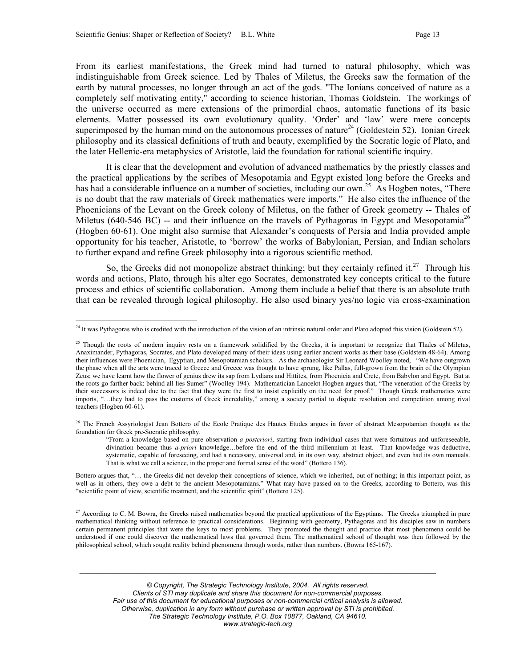From its earliest manifestations, the Greek mind had turned to natural philosophy, which was indistinguishable from Greek science. Led by Thales of Miletus, the Greeks saw the formation of the earth by natural processes, no longer through an act of the gods. "The Ionians conceived of nature as a completely self motivating entity," according to science historian, Thomas Goldstein. The workings of the universe occurred as mere extensions of the primordial chaos, automatic functions of its basic elements. Matter possessed its own evolutionary quality. 'Order' and 'law' were mere concepts superimposed by the human mind on the autonomous processes of nature<sup>24</sup> (Goldestein 52). Ionian Greek philosophy and its classical definitions of truth and beauty, exemplified by the Socratic logic of Plato, and the later Hellenic-era metaphysics of Aristotle, laid the foundation for rational scientific inquiry.

It is clear that the development and evolution of advanced mathematics by the priestly classes and the practical applications by the scribes of Mesopotamia and Egypt existed long before the Greeks and has had a considerable influence on a number of societies, including our own.<sup>25</sup> As Hogben notes, "There is no doubt that the raw materials of Greek mathematics were imports." He also cites the influence of the Phoenicians of the Levant on the Greek colony of Miletus, on the father of Greek geometry -- Thales of Miletus (640-546 BC) -- and their influence on the travels of Pythagoras in Egypt and Mesopotamia<sup>[26](#page-12-2)</sup> (Hogben 60-61). One might also surmise that Alexander's conquests of Persia and India provided ample opportunity for his teacher, Aristotle, to 'borrow' the works of Babylonian, Persian, and Indian scholars to further expand and refine Greek philosophy into a rigorous scientific method.

So, the Greeks did not monopolize abstract thinking; but they certainly refined it.<sup>27</sup> Through his words and actions, Plato, through his alter ego Socrates, demonstrated key concepts critical to the future process and ethics of scientific collaboration. Among them include a belief that there is an absolute truth that can be revealed through logical philosophy. He also used binary yes/no logic via cross-examination

<span id="page-12-2"></span><sup>26</sup> The French Assyriologist Jean Bottero of the Ecole Pratique des Hautes Etudes argues in favor of abstract Mesopotamian thought as the foundation for Greek pre-Socratic philosophy.

"From a knowledge based on pure observation *a posteriori*, starting from individual cases that were fortuitous and unforeseeable, divination became thus *a-priori* knowledge…before the end of the third millennium at least. That knowledge was deductive, systematic, capable of foreseeing, and had a necessary, universal and, in its own way, abstract object, and even had its own manuals. That is what we call a science, in the proper and formal sense of the word" (Bottero 136).

Bottero argues that, "… the Greeks did not develop their conceptions of science, which we inherited, out of nothing; in this important point, as well as in others, they owe a debt to the ancient Mesopotamians." What may have passed on to the Greeks, according to Bottero, was this "scientific point of view, scientific treatment, and the scientific spirit" (Bottero 125).

<span id="page-12-3"></span><sup>27</sup> According to C. M. Bowra, the Greeks raised mathematics beyond the practical applications of the Egyptians. The Greeks triumphed in pure mathematical thinking without reference to practical considerations. Beginning with geometry, Pythagoras and his disciples saw in numbers certain permanent principles that were the keys to most problems. They promoted the thought and practice that most phenomena could be understood if one could discover the mathematical laws that governed them. The mathematical school of thought was then followed by the philosophical school, which sought reality behind phenomena through words, rather than numbers. (Bowra 165-167).

<span id="page-12-0"></span><sup>&</sup>lt;sup>24</sup> It was Pythagoras who is credited with the introduction of the vision of an intrinsic natural order and Plato adopted this vision (Goldstein 52).

<span id="page-12-1"></span> $^{25}$  Though the roots of modern inquiry rests on a framework solidified by the Greeks, it is important to recognize that Thales of Miletus, Anaximander, Pythagoras, Socrates, and Plato developed many of their ideas using earlier ancient works as their base (Goldstein 48-64). Among their influences were Phoenician, Egyptian, and Mesopotamian scholars. As the archaeologist Sir Leonard Woolley noted, "We have outgrown the phase when all the arts were traced to Greece and Greece was thought to have sprung, like Pallas, full-grown from the brain of the Olympian Zeus; we have learnt how the flower of genius drew its sap from Lydians and Hittites, from Phoenicia and Crete, from Babylon and Egypt. But at the roots go farther back: behind all lies Sumer" (Woolley 194). Mathematician Lancelot Hogben argues that, "The veneration of the Greeks by their successors is indeed due to the fact that they were the first to insist explicitly on the need for proof." Though Greek mathematics were imports, "…they had to pass the customs of Greek incredulity," among a society partial to dispute resolution and competition among rival teachers (Hogben 60-61).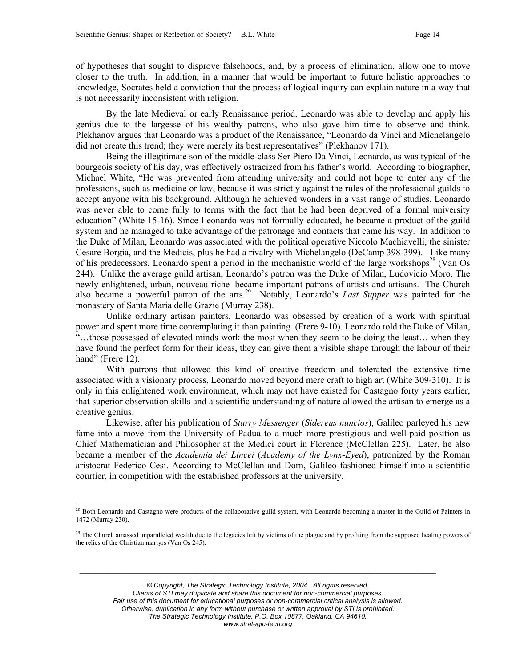of hypotheses that sought to disprove falsehoods, and, by a process of elimination, allow one to move closer to the truth. In addition, in a manner that would be important to future holistic approaches to knowledge, Socrates held a conviction that the process of logical inquiry can explain nature in a way that is not necessarily inconsistent with religion.

By the late Medieval or early Renaissance period. Leonardo was able to develop and apply his genius due to the largesse of his wealthy patrons, who also gave him time to observe and think. Plekhanov argues that Leonardo was a product of the Renaissance, "Leonardo da Vinci and Michelangelo did not create this trend; they were merely its best representatives" (Plekhanov 171).

Being the illegitimate son of the middle-class Ser Piero Da Vinci, Leonardo, as was typical of the bourgeois society of his day, was effectively ostracized from his father's world. According to biographer, Michael White, "He was prevented from attending university and could not hope to enter any of the professions, such as medicine or law, because it was strictly against the rules of the professional guilds to accept anyone with his background. Although he achieved wonders in a vast range of studies, Leonardo was never able to come fully to terms with the fact that he had been deprived of a formal university education" (White 15-16). Since Leonardo was not formally educated, he became a product of the guild system and he managed to take advantage of the patronage and contacts that came his way. In addition to the Duke of Milan, Leonardo was associated with the political operative Niccolo Machiavelli, the sinister Cesare Borgia, and the Medicis, plus he had a rivalry with Michelangelo (DeCamp 398-399). Like many of his predecessors, Leonardo spent a period in the mechanistic world of the large workshops<sup>28</sup> (Van Os 244). Unlike the average guild artisan, Leonardo's patron was the Duke of Milan, Ludovicio Moro. The newly enlightened, urban, nouveau riche became important patrons of artists and artisans. The Church also became a powerful patron of the arts.[29](#page-13-1) Notably, Leonardo's *Last Supper* was painted for the monastery of Santa Maria delle Grazie (Murray 238).

Unlike ordinary artisan painters, Leonardo was obsessed by creation of a work with spiritual power and spent more time contemplating it than painting (Frere 9-10). Leonardo told the Duke of Milan, "…those possessed of elevated minds work the most when they seem to be doing the least… when they have found the perfect form for their ideas, they can give them a visible shape through the labour of their hand" (Frere 12).

With patrons that allowed this kind of creative freedom and tolerated the extensive time associated with a visionary process, Leonardo moved beyond mere craft to high art (White 309-310). It is only in this enlightened work environment, which may not have existed for Castagno forty years earlier, that superior observation skills and a scientific understanding of nature allowed the artisan to emerge as a creative genius.

Likewise, after his publication of *Starry Messenger* (*Sidereus nuncios*), Galileo parleyed his new fame into a move from the University of Padua to a much more prestigious and well-paid position as Chief Mathematician and Philosopher at the Medici court in Florence (McClellan 225). Later, he also became a member of the *Academia dei Lincei* (*Academy of the Lynx-Eyed*), patronized by the Roman aristocrat Federico Cesi. According to McClellan and Dorn, Galileo fashioned himself into a scientific courtier, in competition with the established professors at the university.

<span id="page-13-0"></span><sup>&</sup>lt;sup>28</sup> Both Leonardo and Castagno were products of the collaborative guild system, with Leonardo becoming a master in the Guild of Painters in 1472 (Murray 230).

<span id="page-13-1"></span> $29$  The Church amassed unparalleled wealth due to the legacies left by victims of the plague and by profiting from the supposed healing powers of the relics of the Christian martyrs (Van Os 245).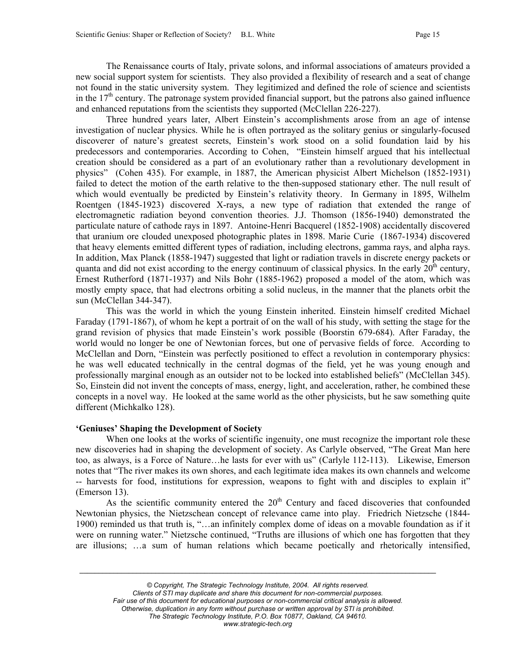The Renaissance courts of Italy, private solons, and informal associations of amateurs provided a new social support system for scientists. They also provided a flexibility of research and a seat of change not found in the static university system. They legitimized and defined the role of science and scientists in the  $17<sup>th</sup>$  century. The patronage system provided financial support, but the patrons also gained influence and enhanced reputations from the scientists they supported (McClellan 226-227).

Three hundred years later, Albert Einstein's accomplishments arose from an age of intense investigation of nuclear physics. While he is often portrayed as the solitary genius or singularly-focused discoverer of nature's greatest secrets, Einstein's work stood on a solid foundation laid by his predecessors and contemporaries. According to Cohen, "Einstein himself argued that his intellectual creation should be considered as a part of an evolutionary rather than a revolutionary development in physics" (Cohen 435). For example, in 1887, the American physicist Albert Michelson (1852-1931) failed to detect the motion of the earth relative to the then-supposed stationary ether. The null result of which would eventually be predicted by Einstein's relativity theory. In Germany in 1895, Wilhelm Roentgen (1845-1923) discovered X-rays, a new type of radiation that extended the range of electromagnetic radiation beyond convention theories. J.J. Thomson (1856-1940) demonstrated the particulate nature of cathode rays in 1897. Antoine-Henri Bacquerel (1852-1908) accidentally discovered that uranium ore clouded unexposed photographic plates in 1898. Marie Curie (1867-1934) discovered that heavy elements emitted different types of radiation, including electrons, gamma rays, and alpha rays. In addition, Max Planck (1858-1947) suggested that light or radiation travels in discrete energy packets or quanta and did not exist according to the energy continuum of classical physics. In the early  $20<sup>th</sup>$  century, Ernest Rutherford (1871-1937) and Nils Bohr (1885-1962) proposed a model of the atom, which was mostly empty space, that had electrons orbiting a solid nucleus, in the manner that the planets orbit the sun (McClellan 344-347).

This was the world in which the young Einstein inherited. Einstein himself credited Michael Faraday (1791-1867), of whom he kept a portrait of on the wall of his study, with setting the stage for the grand revision of physics that made Einstein's work possible (Boorstin 679-684). After Faraday, the world would no longer be one of Newtonian forces, but one of pervasive fields of force. According to McClellan and Dorn, "Einstein was perfectly positioned to effect a revolution in contemporary physics: he was well educated technically in the central dogmas of the field, yet he was young enough and professionally marginal enough as an outsider not to be locked into established beliefs" (McClellan 345). So, Einstein did not invent the concepts of mass, energy, light, and acceleration, rather, he combined these concepts in a novel way. He looked at the same world as the other physicists, but he saw something quite different (Michkalko 128).

# **'Geniuses' Shaping the Development of Society**

When one looks at the works of scientific ingenuity, one must recognize the important role these new discoveries had in shaping the development of society. As Carlyle observed, "The Great Man here too, as always, is a Force of Nature…he lasts for ever with us" (Carlyle 112-113). Likewise, Emerson notes that "The river makes its own shores, and each legitimate idea makes its own channels and welcome -- harvests for food, institutions for expression, weapons to fight with and disciples to explain it" (Emerson 13).

As the scientific community entered the  $20<sup>th</sup>$  Century and faced discoveries that confounded Newtonian physics, the Nietzschean concept of relevance came into play. Friedrich Nietzsche (1844- 1900) reminded us that truth is, "...an infinitely complex dome of ideas on a movable foundation as if it were on running water." Nietzsche continued, "Truths are illusions of which one has forgotten that they are illusions; …a sum of human relations which became poetically and rhetorically intensified,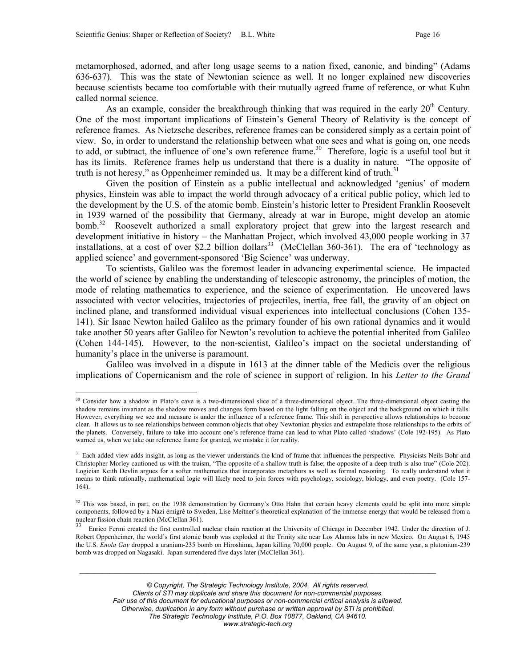metamorphosed, adorned, and after long usage seems to a nation fixed, canonic, and binding" (Adams 636-637). This was the state of Newtonian science as well. It no longer explained new discoveries because scientists became too comfortable with their mutually agreed frame of reference, or what Kuhn called normal science.

As an example, consider the breakthrough thinking that was required in the early  $20<sup>th</sup>$  Century. One of the most important implications of Einstein's General Theory of Relativity is the concept of reference frames. As Nietzsche describes, reference frames can be considered simply as a certain point of view. So, in order to understand the relationship between what one sees and what is going on, one needs to add, or subtract, the influence of one's own reference frame.<sup>30</sup> Therefore, logic is a useful tool but it has its limits. Reference frames help us understand that there is a duality in nature. "The opposite of truth is not heresy," as Oppenheimer reminded us. It may be a different kind of truth. $31$ 

Given the position of Einstein as a public intellectual and acknowledged 'genius' of modern physics, Einstein was able to impact the world through advocacy of a critical public policy, which led to the development by the U.S. of the atomic bomb. Einstein's historic letter to President Franklin Roosevelt in 1939 warned of the possibility that Germany, already at war in Europe, might develop an atomic bomb.<sup>32</sup> Roosevelt authorized a small exploratory project that grew into the largest research and development initiative in history – the Manhattan Project, which involved 43,000 people working in 37 installations, at a cost of over \$2.2 billion dollars<sup>33</sup> (McClellan 360-361). The era of 'technology as applied science' and government-sponsored 'Big Science' was underway.

To scientists, Galileo was the foremost leader in advancing experimental science. He impacted the world of science by enabling the understanding of telescopic astronomy, the principles of motion, the mode of relating mathematics to experience, and the science of experimentation. He uncovered laws associated with vector velocities, trajectories of projectiles, inertia, free fall, the gravity of an object on inclined plane, and transformed individual visual experiences into intellectual conclusions (Cohen 135- 141). Sir Isaac Newton hailed Galileo as the primary founder of his own rational dynamics and it would take another 50 years after Galileo for Newton's revolution to achieve the potential inherited from Galileo (Cohen 144-145). However, to the non-scientist, Galileo's impact on the societal understanding of humanity's place in the universe is paramount.

Galileo was involved in a dispute in 1613 at the dinner table of the Medicis over the religious implications of Copernicanism and the role of science in support of religion. In his *Letter to the Grand*

<span id="page-15-0"></span><sup>&</sup>lt;sup>30</sup> Consider how a shadow in Plato's cave is a two-dimensional slice of a three-dimensional object. The three-dimensional object casting the shadow remains invariant as the shadow moves and changes form based on the light falling on the object and the background on which it falls. However, everything we see and measure is under the influence of a reference frame. This shift in perspective allows relationships to become clear. It allows us to see relationships between common objects that obey Newtonian physics and extrapolate those relationships to the orbits of the planets. Conversely, failure to take into account one's reference frame can lead to what Plato called 'shadows' (Cole 192-195). As Plato warned us, when we take our reference frame for granted, we mistake it for reality.

<span id="page-15-1"></span><sup>&</sup>lt;sup>31</sup> Each added view adds insight, as long as the viewer understands the kind of frame that influences the perspective. Physicists Neils Bohr and Christopher Morley cautioned us with the truism, "The opposite of a shallow truth is false; the opposite of a deep truth is also true" (Cole 202). Logician Keith Devlin argues for a softer mathematics that incorporates metaphors as well as formal reasoning. To really understand what it means to think rationally, mathematical logic will likely need to join forces with psychology, sociology, biology, and even poetry. (Cole 157- 164).

<span id="page-15-2"></span><sup>&</sup>lt;sup>32</sup> This was based, in part, on the 1938 demonstration by Germany's Otto Hahn that certain heavy elements could be split into more simple components, followed by a Nazi émigré to Sweden, Lise Meitner's theoretical explanation of the immense energy that would be released from a nuclear fission chain reaction (McClellan 361).<br><sup>33</sup> Enrico Fermi created the first controlled nuclear chain reaction at the University of Chicago in December 1942. Under the direction of J.

<span id="page-15-3"></span>Robert Oppenheimer, the world's first atomic bomb was exploded at the Trinity site near Los Alamos labs in new Mexico. On August 6, 1945 the U.S. *Enola Gay* dropped a uranium-235 bomb on Hiroshima, Japan killing 70,000 people. On August 9, of the same year, a plutonium-239 bomb was dropped on Nagasaki. Japan surrendered five days later (McClellan 361).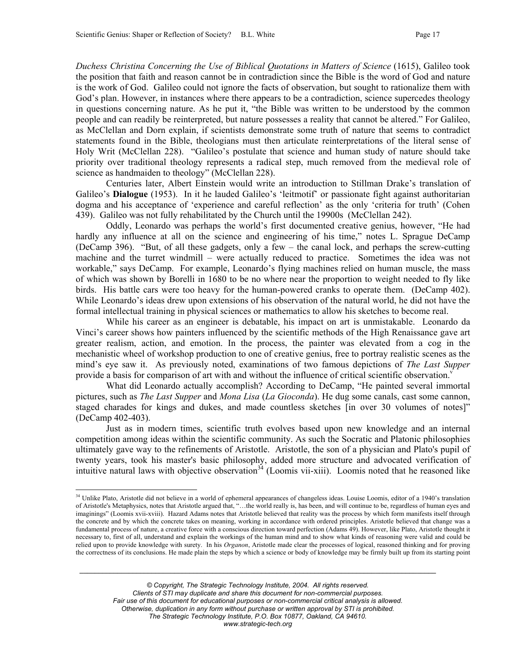<span id="page-16-0"></span>*Duchess Christina Concerning the Use of Biblical Quotations in Matters of Science* (1615), Galileo took the position that faith and reason cannot be in contradiction since the Bible is the word of God and nature is the work of God. Galileo could not ignore the facts of observation, but sought to rationalize them with God's plan. However, in instances where there appears to be a contradiction, science supercedes theology in questions concerning nature. As he put it, "the Bible was written to be understood by the common people and can readily be reinterpreted, but nature possesses a reality that cannot be altered." For Galileo, as McClellan and Dorn explain, if scientists demonstrate some truth of nature that seems to contradict statements found in the Bible, theologians must then articulate reinterpretations of the literal sense of Holy Writ (McClellan 228). "Galileo's postulate that science and human study of nature should take priority over traditional theology represents a radical step, much removed from the medieval role of science as handmaiden to theology" (McClellan 228).

Centuries later, Albert Einstein would write an introduction to Stillman Drake's translation of Galileo's **Dialogue** (1953). In it he lauded Galileo's 'leitmotif' or passionate fight against authoritarian dogma and his acceptance of 'experience and careful reflection' as the only 'criteria for truth' (Cohen 439). Galileo was not fully rehabilitated by the Church until the 19900s (McClellan 242).

Oddly, Leonardo was perhaps the world's first documented creative genius, however, "He had hardly any influence at all on the science and engineering of his time," notes L. Sprague DeCamp (DeCamp 396). "But, of all these gadgets, only a few – the canal lock, and perhaps the screw-cutting machine and the turret windmill – were actually reduced to practice. Sometimes the idea was not workable," says DeCamp. For example, Leonardo's flying machines relied on human muscle, the mass of which was shown by Borelli in 1680 to be no where near the proportion to weight needed to fly like birds. His battle cars were too heavy for the human-powered cranks to operate them. (DeCamp 402). While Leonardo's ideas drew upon extensions of his observation of the natural world, he did not have the formal intellectual training in physical sciences or mathematics to allow his sketches to become real.

While his career as an engineer is debatable, his impact on art is unmistakable. Leonardo da Vinci's career shows how painters influenced by the scientific methods of the High Renaissance gave art greater realism, action, and emotion. In the process, the painter was elevated from a cog in the mechanistic wheel of workshop production to one of creative genius, free to portray realistic scenes as the mind's eye saw it. As previously noted, examinations of two famous depictions of *The Last Supper* provide a basis for comparison of art with and without the influence of critical scientific observation.<sup>v</sup>

What did Leonardo actually accomplish? According to DeCamp, "He painted several immortal pictures, such as *The Last Supper* and *Mona Lisa* (*La Gioconda*). He dug some canals, cast some cannon, staged charades for kings and dukes, and made countless sketches [in over 30 volumes of notes]" (DeCamp 402-403).

Just as in modern times, scientific truth evolves based upon new knowledge and an internal competition among ideas within the scientific community. As such the Socratic and Platonic philosophies ultimately gave way to the refinements of Aristotle. Aristotle, the son of a physician and Plato's pupil of twenty years, took his master's basic philosophy, added more structure and advocated verification of intuitive natural laws with objective observation<sup>34</sup> (Loomis vii-xiii). Loomis noted that he reasoned like

<sup>&</sup>lt;sup>34</sup> Unlike Plato, Aristotle did not believe in a world of ephemeral appearances of changeless ideas. Louise Loomis, editor of a 1940's translation of Aristotle's Metaphysics, notes that Aristotle argued that, "…the world really is, has been, and will continue to be, regardless of human eyes and imaginings" (Loomis xvii-xviii). Hazard Adams notes that Aristotle believed that reality was the process by which form manifests itself through the concrete and by which the concrete takes on meaning, working in accordance with ordered principles. Aristotle believed that change was a fundamental process of nature, a creative force with a conscious direction toward perfection (Adams 49). However, like Plato, Aristotle thought it necessary to, first of all, understand and explain the workings of the human mind and to show what kinds of reasoning were valid and could be relied upon to provide knowledge with surety. In his *Organon*, Aristotle made clear the processes of logical, reasoned thinking and for proving the correctness of its conclusions. He made plain the steps by which a science or body of knowledge may be firmly built up from its starting point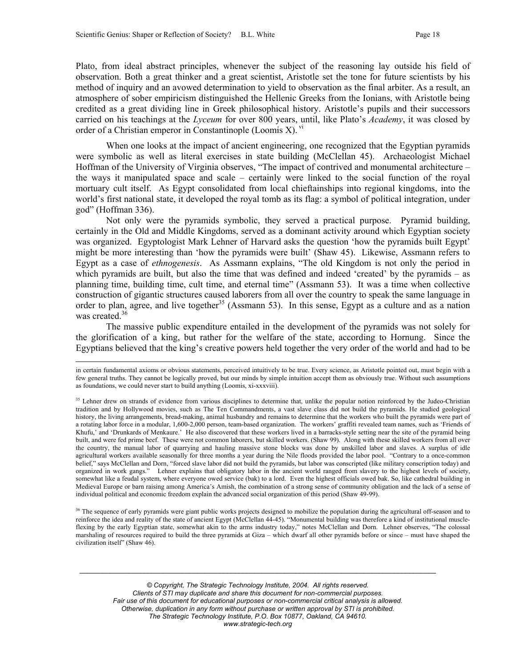Plato, from ideal abstract principles, whenever the subject of the reasoning lay outside his field of observation. Both a great thinker and a great scientist, Aristotle set the tone for future scientists by his method of inquiry and an avowed determination to yield to observation as the final arbiter. As a result, an atmosphere of sober empiricism distinguished the Hellenic Greeks from the Ionians, with Aristotle being credited as a great dividing line in Greek philosophical history. Aristotle's pupils and their successors carried on his teachings at the *Lyceum* for over 800 years, until, like Plato's *Academy*, it was closed by order of a Christian emperor in Constantinople (Loomis X).  $\overline{v}$ 

When one looks at the impact of ancient engineering, one recognized that the Egyptian pyramids were symbolic as well as literal exercises in state building (McClellan 45). Archaeologist Michael Hoffman of the University of Virginia observes, "The impact of contrived and monumental architecture – the ways it manipulated space and scale – certainly were linked to the social function of the royal mortuary cult itself. As Egypt consolidated from local chieftainships into regional kingdoms, into the world's first national state, it developed the royal tomb as its flag: a symbol of political integration, under god" (Hoffman 336).

Not only were the pyramids symbolic, they served a practical purpose. Pyramid building, certainly in the Old and Middle Kingdoms, served as a dominant activity around which Egyptian society was organized. Egyptologist Mark Lehner of Harvard asks the question 'how the pyramids built Egypt' might be more interesting than 'how the pyramids were built' (Shaw 45). Likewise, Assmann refers to Egypt as a case of *ethnogenesis*. As Assmann explains, "The old Kingdom is not only the period in which pyramids are built, but also the time that was defined and indeed 'created' by the pyramids – as planning time, building time, cult time, and eternal time" (Assmann 53). It was a time when collective construction of gigantic structures caused laborers from all over the country to speak the same language in order to plan, agree, and live together<sup>35</sup> (Assmann 53). In this sense, Egypt as a culture and as a nation was created.<sup>36</sup>

The massive public expenditure entailed in the development of the pyramids was not solely for the glorification of a king, but rather for the welfare of the state, according to Hornung. Since the Egyptians believed that the king's creative powers held together the very order of the world and had to be

<span id="page-17-1"></span><sup>36</sup> The sequence of early pyramids were giant public works projects designed to mobilize the population during the agricultural off-season and to reinforce the idea and reality of the state of ancient Egypt (McClellan 44-45). "Monumental building was therefore a kind of institutional muscleflexing by the early Egyptian state, somewhat akin to the arms industry today," notes McClellan and Dorn. Lehner observes, "The colossal marshaling of resources required to build the three pyramids at Giza – which dwarf all other pyramids before or since – must have shaped the civilization itself" (Shaw 46).

in certain fundamental axioms or obvious statements, perceived intuitively to be true. Every science, as Aristotle pointed out, must begin with a few general truths. They cannot be logically proved, but our minds by simple intuition accept them as obviously true. Without such assumptions as foundations, we could never start to build anything (Loomis, xi-xxxviii).

<span id="page-17-0"></span><sup>&</sup>lt;sup>35</sup> Lehner drew on strands of evidence from various disciplines to determine that, unlike the popular notion reinforced by the Judeo-Christian tradition and by Hollywood movies, such as The Ten Commandments, a vast slave class did not build the pyramids. He studied geological history, the living arrangements, bread-making, animal husbandry and remains to determine that the workers who built the pyramids were part of a rotating labor force in a modular, 1,600-2,000 person, team-based organization. The workers' graffiti revealed team names, such as 'Friends of Khufu,' and 'Drunkards of Menkaure.' He also discovered that these workers lived in a barracks-style setting near the site of the pyramid being built, and were fed prime beef. These were not common laborers, but skilled workers. (Shaw 99). Along with these skilled workers from all over the country, the manual labor of quarrying and hauling massive stone blocks was done by unskilled labor and slaves. A surplus of idle agricultural workers available seasonally for three months a year during the Nile floods provided the labor pool. "Contrary to a once-common belief," says McClellan and Dorn, "forced slave labor did not build the pyramids, but labor was conscripted (like military conscription today) and organized in work gangs." Lehner explains that obligatory labor in the ancient world ranged from slavery to the highest levels of society, somewhat like a feudal system, where everyone owed service (bak) to a lord. Even the highest officials owed bak. So, like cathedral building in Medieval Europe or barn raising among America's Amish, the combination of a strong sense of community obligation and the lack of a sense of individual political and economic freedom explain the advanced social organization of this period (Shaw 49-99).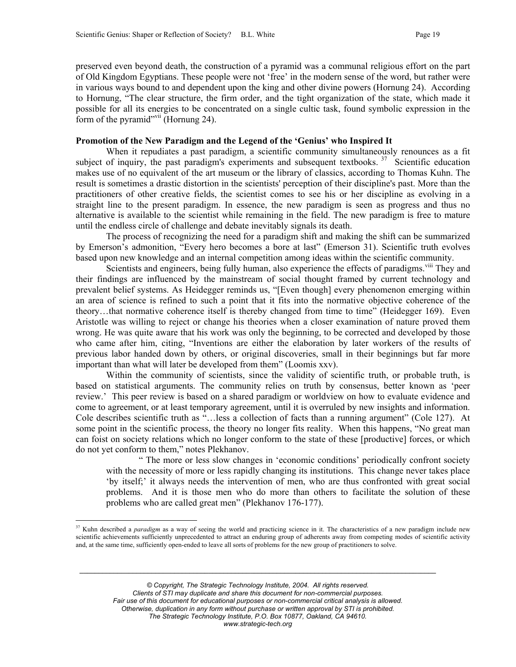preserved even beyond death, the construction of a pyramid was a communal religious effort on the part of Old Kingdom Egyptians. These people were not 'free' in the modern sense of the word, but rather were in various ways bound to and dependent upon the king and other divine powers (Hornung 24). According to Hornung, "The clear structure, the firm order, and the tight organization of the state, which made it possible for all its energies to be concentrated on a single cultic task, found symbolic expression in the form of the pyramid $v$ <sup>vii</sup> (Hornung 24).

# **Promotion of the New Paradigm and the Legend of the 'Genius' who Inspired It**

When it repudiates a past paradigm, a scientific community simultaneously renounces as a fit subject of inquiry, the past paradigm's experiments and subsequent textbooks.<sup>37</sup> Scientific education makes use of no equivalent of the art museum or the library of classics, according to Thomas Kuhn. The result is sometimes a drastic distortion in the scientists' perception of their discipline's past. More than the practitioners of other creative fields, the scientist comes to see his or her discipline as evolving in a straight line to the present paradigm. In essence, the new paradigm is seen as progress and thus no alternative is available to the scientist while remaining in the field. The new paradigm is free to mature until the endless circle of challenge and debate inevitably signals its death.

The process of recognizing the need for a paradigm shift and making the shift can be summarized by Emerson's admonition, "Every hero becomes a bore at last" (Emerson 31). Scientific truth evolves based upon new knowledge and an internal competition among ideas within the scientific community.

Scientists and engineers, being fully human, also experience the effects of paradigms.<sup>viii</sup> They and their findings are influenced by the mainstream of social thought framed by current technology and prevalent belief systems. As Heidegger reminds us, "[Even though] every phenomenon emerging within an area of science is refined to such a point that it fits into the normative objective coherence of the theory…that normative coherence itself is thereby changed from time to time" (Heidegger 169). Even Aristotle was willing to reject or change his theories when a closer examination of nature proved them wrong. He was quite aware that his work was only the beginning, to be corrected and developed by those who came after him, citing, "Inventions are either the elaboration by later workers of the results of previous labor handed down by others, or original discoveries, small in their beginnings but far more important than what will later be developed from them" (Loomis xxv).

Within the community of scientists, since the validity of scientific truth, or probable truth, is based on statistical arguments. The community relies on truth by consensus, better known as 'peer review.' This peer review is based on a shared paradigm or worldview on how to evaluate evidence and come to agreement, or at least temporary agreement, until it is overruled by new insights and information. Cole describes scientific truth as "…less a collection of facts than a running argument" (Cole 127).At some point in the scientific process, the theory no longer fits reality. When this happens, "No great man can foist on society relations which no longer conform to the state of these [productive] forces, or which do not yet conform to them," notes Plekhanov.

" The more or less slow changes in 'economic conditions' periodically confront society with the necessity of more or less rapidly changing its institutions. This change never takes place 'by itself;' it always needs the intervention of men, who are thus confronted with great social problems. And it is those men who do more than others to facilitate the solution of these problems who are called great men" (Plekhanov 176-177).

<span id="page-18-0"></span> $\overline{a}$ <sup>37</sup> Kuhn described a *paradigm* as a way of seeing the world and practicing science in it. The characteristics of a new paradigm include new scientific achievements sufficiently unprecedented to attract an enduring group of adherents away from competing modes of scientific activity and, at the same time, sufficiently open-ended to leave all sorts of problems for the new group of practitioners to solve.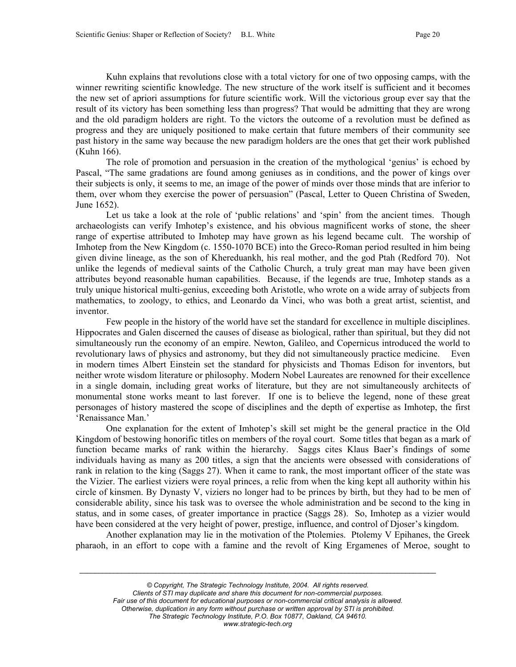Kuhn explains that revolutions close with a total victory for one of two opposing camps, with the winner rewriting scientific knowledge. The new structure of the work itself is sufficient and it becomes the new set of apriori assumptions for future scientific work. Will the victorious group ever say that the result of its victory has been something less than progress? That would be admitting that they are wrong and the old paradigm holders are right. To the victors the outcome of a revolution must be defined as progress and they are uniquely positioned to make certain that future members of their community see past history in the same way because the new paradigm holders are the ones that get their work published (Kuhn 166).

The role of promotion and persuasion in the creation of the mythological 'genius' is echoed by Pascal, "The same gradations are found among geniuses as in conditions, and the power of kings over their subjects is only, it seems to me, an image of the power of minds over those minds that are inferior to them, over whom they exercise the power of persuasion" (Pascal, Letter to Queen Christina of Sweden, June 1652).

Let us take a look at the role of 'public relations' and 'spin' from the ancient times. Though archaeologists can verify Imhotep's existence, and his obvious magnificent works of stone, the sheer range of expertise attributed to Imhotep may have grown as his legend became cult. The worship of Imhotep from the New Kingdom (c. 1550-1070 BCE) into the Greco-Roman period resulted in him being given divine lineage, as the son of Khereduankh, his real mother, and the god Ptah (Redford 70). Not unlike the legends of medieval saints of the Catholic Church, a truly great man may have been given attributes beyond reasonable human capabilities. Because, if the legends are true, Imhotep stands as a truly unique historical multi-genius, exceeding both Aristotle, who wrote on a wide array of subjects from mathematics, to zoology, to ethics, and Leonardo da Vinci, who was both a great artist, scientist, and inventor.

Few people in the history of the world have set the standard for excellence in multiple disciplines. Hippocrates and Galen discerned the causes of disease as biological, rather than spiritual, but they did not simultaneously run the economy of an empire. Newton, Galileo, and Copernicus introduced the world to revolutionary laws of physics and astronomy, but they did not simultaneously practice medicine. Even in modern times Albert Einstein set the standard for physicists and Thomas Edison for inventors, but neither wrote wisdom literature or philosophy. Modern Nobel Laureates are renowned for their excellence in a single domain, including great works of literature, but they are not simultaneously architects of monumental stone works meant to last forever. If one is to believe the legend, none of these great personages of history mastered the scope of disciplines and the depth of expertise as Imhotep, the first 'Renaissance Man.'

One explanation for the extent of Imhotep's skill set might be the general practice in the Old Kingdom of bestowing honorific titles on members of the royal court. Some titles that began as a mark of function became marks of rank within the hierarchy. Saggs cites Klaus Baer's findings of some individuals having as many as 200 titles, a sign that the ancients were obsessed with considerations of rank in relation to the king (Saggs 27). When it came to rank, the most important officer of the state was the Vizier. The earliest viziers were royal princes, a relic from when the king kept all authority within his circle of kinsmen. By Dynasty V, viziers no longer had to be princes by birth, but they had to be men of considerable ability, since his task was to oversee the whole administration and be second to the king in status, and in some cases, of greater importance in practice (Saggs 28). So, Imhotep as a vizier would have been considered at the very height of power, prestige, influence, and control of Djoser's kingdom.

Another explanation may lie in the motivation of the Ptolemies. Ptolemy V Epihanes, the Greek pharaoh, in an effort to cope with a famine and the revolt of King Ergamenes of Meroe, sought to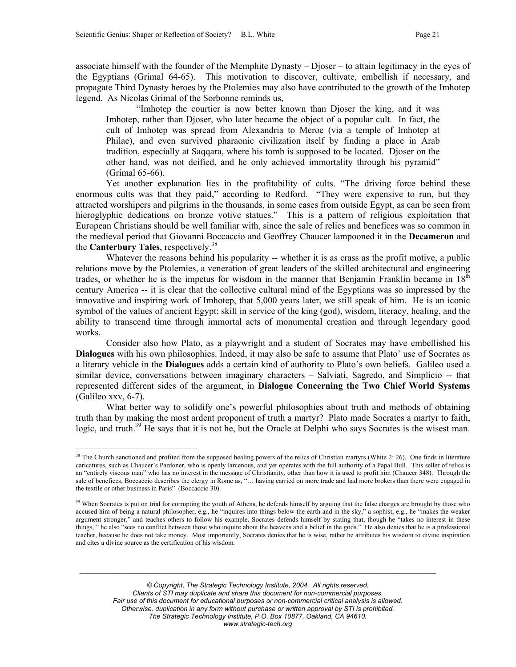associate himself with the founder of the Memphite Dynasty – Djoser – to attain legitimacy in the eyes of the Egyptians (Grimal 64-65). This motivation to discover, cultivate, embellish if necessary, and propagate Third Dynasty heroes by the Ptolemies may also have contributed to the growth of the Imhotep legend. As Nicolas Grimal of the Sorbonne reminds us,

"Imhotep the courtier is now better known than Djoser the king, and it was Imhotep, rather than Djoser, who later became the object of a popular cult. In fact, the cult of Imhotep was spread from Alexandria to Meroe (via a temple of Imhotep at Philae), and even survived pharaonic civilization itself by finding a place in Arab tradition, especially at Saqqara, where his tomb is supposed to be located. Djoser on the other hand, was not deified, and he only achieved immortality through his pyramid" (Grimal 65-66).

Yet another explanation lies in the profitability of cults. "The driving force behind these enormous cults was that they paid," according to Redford. "They were expensive to run, but they attracted worshipers and pilgrims in the thousands, in some cases from outside Egypt, as can be seen from hieroglyphic dedications on bronze votive statues." This is a pattern of religious exploitation that European Christians should be well familiar with, since the sale of relics and benefices was so common in the medieval period that Giovanni Boccaccio and Geoffrey Chaucer lampooned it in the **Decameron** and the **Canterbury Tales**, respectively. [38](#page-20-0) 

Whatever the reasons behind his popularity -- whether it is as crass as the profit motive, a public relations move by the Ptolemies, a veneration of great leaders of the skilled architectural and engineering trades, or whether he is the impetus for wisdom in the manner that Benjamin Franklin became in 18<sup>th</sup> century America -- it is clear that the collective cultural mind of the Egyptians was so impressed by the innovative and inspiring work of Imhotep, that 5,000 years later, we still speak of him. He is an iconic symbol of the values of ancient Egypt: skill in service of the king (god), wisdom, literacy, healing, and the ability to transcend time through immortal acts of monumental creation and through legendary good works.

Consider also how Plato, as a playwright and a student of Socrates may have embellished his **Dialogues** with his own philosophies. Indeed, it may also be safe to assume that Plato' use of Socrates as a literary vehicle in the **Dialogues** adds a certain kind of authority to Plato's own beliefs. Galileo used a similar device, conversations between imaginary characters – Salviati, Sagredo, and Simplicio -- that represented different sides of the argument, in **Dialogue Concerning the Two Chief World Systems** (Galileo xxv, 6-7).

What better way to solidify one's powerful philosophies about truth and methods of obtaining truth than by making the most ardent proponent of truth a martyr? Plato made Socrates a martyr to faith, logic, and truth.<sup>39</sup> He says that it is not he, but the Oracle at Delphi who says Socrates is the wisest man.

<span id="page-20-0"></span> $38$  The Church sanctioned and profited from the supposed healing powers of the relics of Christian martyrs (White  $2: 26$ ). One finds in literature caricatures, such as Chaucer's Pardoner, who is openly larcenous, and yet operates with the full authority of a Papal Bull. This seller of relics is an "entirely viscous man" who has no interest in the message of Christianity, other than how it is used to profit him (Chaucer 348). Through the sale of benefices, Boccaccio describes the clergy in Rome as, "… having carried on more trade and had more brokers than there were engaged in the textile or other business in Paris" (Boccaccio 30).

<span id="page-20-1"></span><sup>&</sup>lt;sup>39</sup> When Socrates is put on trial for corrupting the youth of Athens, he defends himself by arguing that the false charges are brought by those who accused him of being a natural philosopher, e.g., he "inquires into things below the earth and in the sky," a sophist, e.g., he "makes the weaker argument stronger," and teaches others to follow his example. Socrates defends himself by stating that, though he "takes no interest in these things, " he also "sees no conflict between those who inquire about the heavens and a belief in the gods." He also denies that he is a professional teacher, because he does not take money. Most importantly, Socrates denies that he is wise, rather he attributes his wisdom to divine inspiration and cites a divine source as the certification of his wisdom.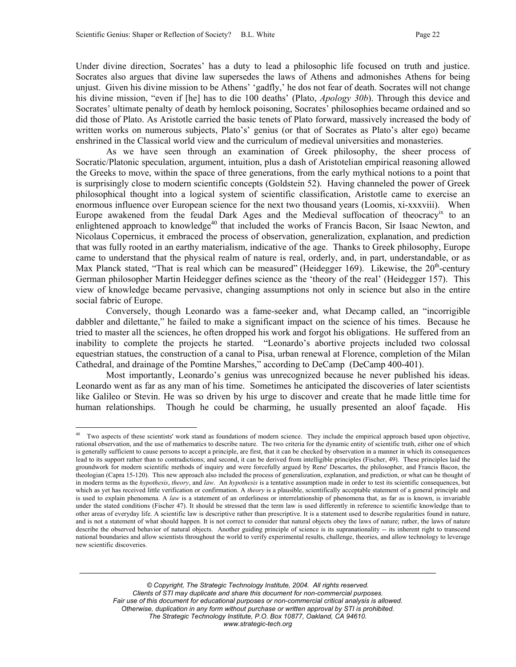Under divine direction, Socrates' has a duty to lead a philosophic life focused on truth and justice. Socrates also argues that divine law supersedes the laws of Athens and admonishes Athens for being unjust. Given his divine mission to be Athens' 'gadfly,' he dos not fear of death. Socrates will not change his divine mission, "even if [he] has to die 100 deaths' (Plato, *Apology 30b*). Through this device and Socrates' ultimate penalty of death by hemlock poisoning, Socrates' philosophies became ordained and so did those of Plato. As Aristotle carried the basic tenets of Plato forward, massively increased the body of written works on numerous subjects, Plato's' genius (or that of Socrates as Plato's alter ego) became enshrined in the Classical world view and the curriculum of medieval universities and monasteries.

As we have seen through an examination of Greek philosophy, the sheer process of Socratic/Platonic speculation, argument, intuition, plus a dash of Aristotelian empirical reasoning allowed the Greeks to move, within the space of three generations, from the early mythical notions to a point that is surprisingly close to modern scientific concepts (Goldstein 52). Having channeled the power of Greek philosophical thought into a logical system of scientific classification, Aristotle came to exercise an enormous influence over European science for the next two thousand years (Loomis, xi-xxxviii). When Europe awakened from the feudal Dark Ages and the Medieval suffocation of theocracy<sup>ix</sup> to an enlightened approach to knowledge<sup>40</sup> that included the works of Francis Bacon, Sir Isaac Newton, and Nicolaus Copernicus, it embraced the process of observation, generalization, explanation, and prediction that was fully rooted in an earthy materialism, indicative of the age. Thanks to Greek philosophy, Europe came to understand that the physical realm of nature is real, orderly, and, in part, understandable, or as Max Planck stated, "That is real which can be measured" (Heidegger 169). Likewise, the  $20<sup>th</sup>$ -century German philosopher Martin Heidegger defines science as the 'theory of the real' (Heidegger 157). This view of knowledge became pervasive, changing assumptions not only in science but also in the entire social fabric of Europe.

Conversely, though Leonardo was a fame-seeker and, what Decamp called, an "incorrigible dabbler and dilettante," he failed to make a significant impact on the science of his times. Because he tried to master all the sciences, he often dropped his work and forgot his obligations. He suffered from an inability to complete the projects he started. "Leonardo's abortive projects included two colossal equestrian statues, the construction of a canal to Pisa, urban renewal at Florence, completion of the Milan Cathedral, and drainage of the Pomtine Marshes," according to DeCamp (DeCamp 400-401).

Most importantly, Leonardo's genius was unrecognized because he never published his ideas. Leonardo went as far as any man of his time. Sometimes he anticipated the discoveries of later scientists like Galileo or Stevin. He was so driven by his urge to discover and create that he made little time for human relationships. Though he could be charming, he usually presented an aloof façade. His

<span id="page-21-0"></span> $\overline{a}$ <sup>40</sup> Two aspects of these scientists' work stand as foundations of modern science. They include the empirical approach based upon objective, rational observation, and the use of mathematics to describe nature. The two criteria for the dynamic entity of scientific truth, either one of which is generally sufficient to cause persons to accept a principle, are first, that it can be checked by observation in a manner in which its consequences lead to its support rather than to contradictions; and second, it can be derived from intelligible principles (Fischer, 49). These principles laid the groundwork for modern scientific methods of inquiry and were forcefully argued by Rene' Descartes, the philosopher, and Francis Bacon, the theologian (Capra 15-120). This new approach also included the process of generalization, explanation, and prediction, or what can be thought of in modern terms as the *hypothesis*, *theory*, and *law*. An *hypothesis* is a tentative assumption made in order to test its scientific consequences, but which as yet has received little verification or confirmation. A *theory* is a plausible, scientifically acceptable statement of a general principle and is used to explain phenomena. A *law* is a statement of an orderliness or interrelationship of phenomena that, as far as is known, is invariable under the stated conditions (Fischer 47). It should be stressed that the term law is used differently in reference to scientific knowledge than to other areas of everyday life. A scientific law is descriptive rather than prescriptive. It is a statement used to describe regularities found in nature, and is not a statement of what should happen. It is not correct to consider that natural objects obey the laws of nature; rather, the laws of nature describe the observed behavior of natural objects. Another guiding principle of science is its supranationality -- its inherent right to transcend national boundaries and allow scientists throughout the world to verify experimental results, challenge, theories, and allow technology to leverage new scientific discoveries.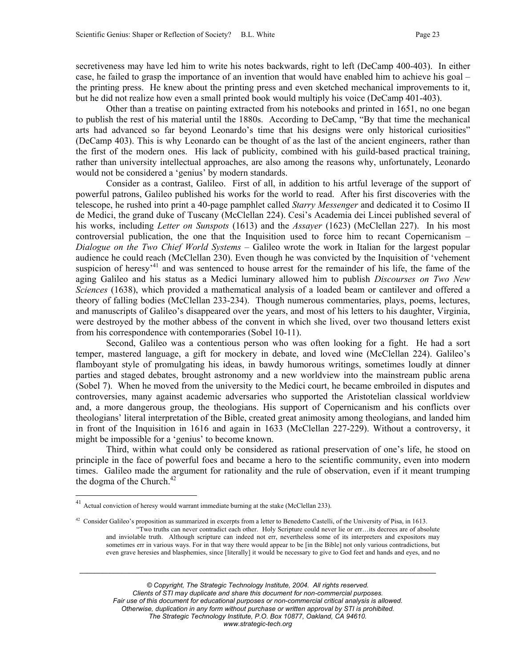<span id="page-22-1"></span>secretiveness may have led him to write his notes backwards, right to left (DeCamp 400-403). In either case, he failed to grasp the importance of an invention that would have enabled him to achieve his goal – the printing press. He knew about the printing press and even sketched mechanical improvements to it, but he did not realize how even a small printed book would multiply his voice (DeCamp 401-403).

Other than a treatise on painting extracted from his notebooks and printed in 1651, no one began to publish the rest of his material until the 1880s. According to DeCamp, "By that time the mechanical arts had advanced so far beyond Leonardo's time that his designs were only historical curiosities" (DeCamp 403). This is why Leonardo can be thought of as the last of the ancient engineers, rather than the first of the modern ones. His lack of publicity, combined with his guild-based practical training, rather than university intellectual approaches, are also among the reasons why, unfortunately, Leonardo would not be considered a 'genius' by modern standards.

Consider as a contrast, Galileo. First of all, in addition to his artful leverage of the support of powerful patrons, Galileo published his works for the world to read. After his first discoveries with the telescope, he rushed into print a 40-page pamphlet called *Starry Messenger* and dedicated it to Cosimo II de Medici, the grand duke of Tuscany (McClellan 224). Cesi's Academia dei Lincei published several of his works, including *Letter on Sunspots* (1613) and the *Assayer* (1623) (McClellan 227). In his most controversial publication, the one that the Inquisition used to force him to recant Copernicanism – *Dialogue on the Two Chief World Systems* – Galileo wrote the work in Italian for the largest popular audience he could reach (McClellan 230). Even though he was convicted by the Inquisition of 'vehement suspicion of heresy<sup>-41</sup> and was sentenced to house arrest for the remainder of his life, the fame of the aging Galileo and his status as a Medici luminary allowed him to publish *Discourses on Two New Sciences* (1638), which provided a mathematical analysis of a loaded beam or cantilever and offered a theory of falling bodies (McClellan 233-234). Though numerous commentaries, plays, poems, lectures, and manuscripts of Galileo's disappeared over the years, and most of his letters to his daughter, Virginia, were destroyed by the mother abbess of the convent in which she lived, over two thousand letters exist from his correspondence with contemporaries (Sobel 10-11).

Second, Galileo was a contentious person who was often looking for a fight. He had a sort temper, mastered language, a gift for mockery in debate, and loved wine (McClellan 224). Galileo's flamboyant style of promulgating his ideas, in bawdy humorous writings, sometimes loudly at dinner parties and staged debates, brought astronomy and a new worldview into the mainstream public arena (Sobel 7). When he moved from the university to the Medici court, he became embroiled in disputes and controversies, many against academic adversaries who supported the Aristotelian classical worldview and, a more dangerous group, the theologians. His support of Copernicanism and his conflicts over theologians' literal interpretation of the Bible, created great animosity among theologians, and landed him in front of the Inquisition in 1616 and again in 1633 (McClellan 227-229). Without a controversy, it might be impossible for a 'genius' to become known.

Third, within what could only be considered as rational preservation of one's life, he stood on principle in the face of powerful foes and became a hero to the scientific community, even into modern times. Galileo made the argument for rationality and the rule of observation, even if it meant trumping the dogma of the Church. $^{42}$  $^{42}$  $^{42}$ 

 $\overline{a}$ 

<span id="page-22-0"></span><sup>&</sup>lt;sup>41</sup> Actual conviction of heresy would warrant immediate burning at the stake (McClellan 233).

 $42$  Consider Galileo's proposition as summarized in excerpts from a letter to Benedetto Castelli, of the University of Pisa, in 1613. "Two truths can never contradict each other. Holy Scripture could never lie or err…its decrees are of absolute and inviolable truth. Although scripture can indeed not err, nevertheless some of its interpreters and expositors may sometimes err in various ways. For in that way there would appear to be [in the Bible] not only various contradictions, but even grave heresies and blasphemies, since [literally] it would be necessary to give to God feet and hands and eyes, and no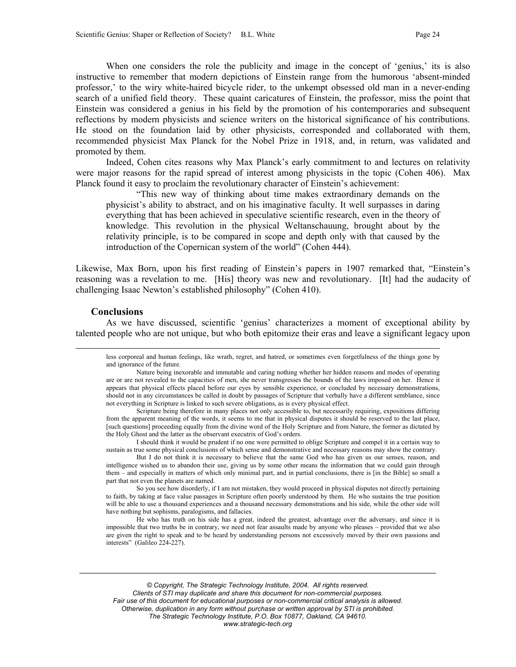When one considers the role the publicity and image in the concept of 'genius,' its is also instructive to remember that modern depictions of Einstein range from the humorous 'absent-minded professor,' to the wiry white-haired bicycle rider, to the unkempt obsessed old man in a never-ending search of a unified field theory. These quaint caricatures of Einstein, the professor, miss the point that Einstein was considered a genius in his field by the promotion of his contemporaries and subsequent reflections by modern physicists and science writers on the historical significance of his contributions. He stood on the foundation laid by other physicists, corresponded and collaborated with them, recommended physicist Max Planck for the Nobel Prize in 1918, and, in return, was validated and promoted by them.

Indeed, Cohen cites reasons why Max Planck's early commitment to and lectures on relativity were major reasons for the rapid spread of interest among physicists in the topic (Cohen 406). Max Planck found it easy to proclaim the revolutionary character of Einstein's achievement:

"This new way of thinking about time makes extraordinary demands on the physicist's ability to abstract, and on his imaginative faculty. It well surpasses in daring everything that has been achieved in speculative scientific research, even in the theory of knowledge. This revolution in the physical Weltanschauung, brought about by the relativity principle, is to be compared in scope and depth only with that caused by the introduction of the Copernican system of the world" (Cohen 444).

Likewise, Max Born, upon his first reading of Einstein's papers in 1907 remarked that, "Einstein's reasoning was a revelation to me. [His] theory was new and revolutionary. [It] had the audacity of challenging Isaac Newton's established philosophy" (Cohen 410).

### **Conclusions**

As we have discussed, scientific 'genius' characterizes a moment of exceptional ability by talented people who are not unique, but who both epitomize their eras and leave a significant legacy upon

I should think it would be prudent if no one were permitted to oblige Scripture and compel it in a certain way to sustain as true some physical conclusions of which sense and demonstrative and necessary reasons may show the contrary.

But I do not think it is necessary to believe that the same God who has given us our senses, reason, and intelligence wished us to abandon their use, giving us by some other means the information that we could gain through them – and especially in matters of which only minimal part, and in partial conclusions, there is [in the Bible] so small a part that not even the planets are named.

So you see how disorderly, if I am not mistaken, they would proceed in physical disputes not directly pertaining to faith, by taking at face value passages in Scripture often poorly understood by them. He who sustains the true position will be able to use a thousand experiences and a thousand necessary demonstrations and his side, while the other side will have nothing but sophisms, paralogisms, and fallacies.

He who has truth on his side has a great, indeed the greatest, advantage over the adversary, and since it is impossible that two truths be in contrary, we need not fear assaults made by anyone who pleases – provided that we also are given the right to speak and to be heard by understanding persons not excessively moved by their own passions and interests" (Galileo 224-227).

less corporeal and human feelings, like wrath, regret, and hatred, or sometimes even forgetfulness of the things gone by and ignorance of the future.

Nature being inexorable and immutable and caring nothing whether her hidden reasons and modes of operating are or are not revealed to the capacities of men, she never transgresses the bounds of the laws imposed on her. Hence it appears that physical effects placed before our eyes by sensible experience, or concluded by necessary demonstrations, should not in any circumstances be called in doubt by passages of Scripture that verbally have a different semblance, since not everything in Scripture is linked to such severe obligations, as is every physical effect.

Scripture being therefore in many places not only accessible to, but necessarily requiring, expositions differing from the apparent meaning of the words, it seems to me that in physical disputes it should be reserved to the last place, [such questions] proceeding equally from the divine word of the Holy Scripture and from Nature, the former as dictated by the Holy Ghost and the latter as the observant executrix of God's orders.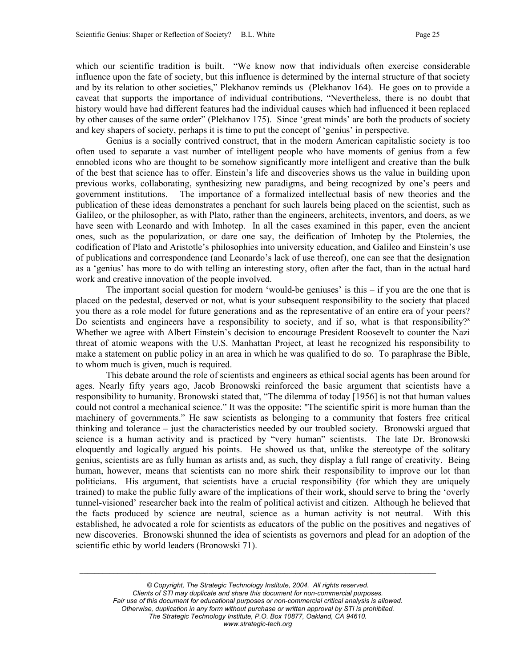which our scientific tradition is built. "We know now that individuals often exercise considerable influence upon the fate of society, but this influence is determined by the internal structure of that society and by its relation to other societies," Plekhanov reminds us (Plekhanov 164). He goes on to provide a caveat that supports the importance of individual contributions, "Nevertheless, there is no doubt that history would have had different features had the individual causes which had influenced it been replaced by other causes of the same order" (Plekhanov 175). Since 'great minds' are both the products of society and key shapers of society, perhaps it is time to put the concept of 'genius' in perspective.

Genius is a socially contrived construct, that in the modern American capitalistic society is too often used to separate a vast number of intelligent people who have moments of genius from a few ennobled icons who are thought to be somehow significantly more intelligent and creative than the bulk of the best that science has to offer. Einstein's life and discoveries shows us the value in building upon previous works, collaborating, synthesizing new paradigms, and being recognized by one's peers and government institutions. The importance of a formalized intellectual basis of new theories and the publication of these ideas demonstrates a penchant for such laurels being placed on the scientist, such as Galileo, or the philosopher, as with Plato, rather than the engineers, architects, inventors, and doers, as we have seen with Leonardo and with Imhotep. In all the cases examined in this paper, even the ancient ones, such as the popularization, or dare one say, the deification of Imhotep by the Ptolemies, the codification of Plato and Aristotle's philosophies into university education, and Galileo and Einstein's use of publications and correspondence (and Leonardo's lack of use thereof), one can see that the designation as a 'genius' has more to do with telling an interesting story, often after the fact, than in the actual hard work and creative innovation of the people involved.

The important social question for modern 'would-be geniuses' is this  $-$  if you are the one that is placed on the pedestal, deserved or not, what is your subsequent responsibility to the society that placed you there as a role model for future generations and as the representative of an entire era of your peers? Do scientists and engineers have a responsibility to society, and if so, what is that responsibility? Whether we agree with Albert Einstein's decision to encourage President Roosevelt to counter the Nazi threat of atomic weapons with the U.S. Manhattan Project, at least he recognized his responsibility to make a statement on public policy in an area in which he was qualified to do so. To paraphrase the Bible, to whom much is given, much is required.

This debate around the role of scientists and engineers as ethical social agents has been around for ages. Nearly fifty years ago, Jacob Bronowski reinforced the basic argument that scientists have a responsibility to humanity. Bronowski stated that, "The dilemma of today [1956] is not that human values could not control a mechanical science." It was the opposite: "The scientific spirit is more human than the machinery of governments." He saw scientists as belonging to a community that fosters free critical thinking and tolerance – just the characteristics needed by our troubled society. Bronowski argued that science is a human activity and is practiced by "very human" scientists. The late Dr. Bronowski eloquently and logically argued his points. He showed us that, unlike the stereotype of the solitary genius, scientists are as fully human as artists and, as such, they display a full range of creativity. Being human, however, means that scientists can no more shirk their responsibility to improve our lot than politicians. His argument, that scientists have a crucial responsibility (for which they are uniquely trained) to make the public fully aware of the implications of their work, should serve to bring the 'overly tunnel-visioned' researcher back into the realm of political activist and citizen. Although he believed that the facts produced by science are neutral, science as a human activity is not neutral. With this established, he advocated a role for scientists as educators of the public on the positives and negatives of new discoveries. Bronowski shunned the idea of scientists as governors and plead for an adoption of the scientific ethic by world leaders (Bronowski 71).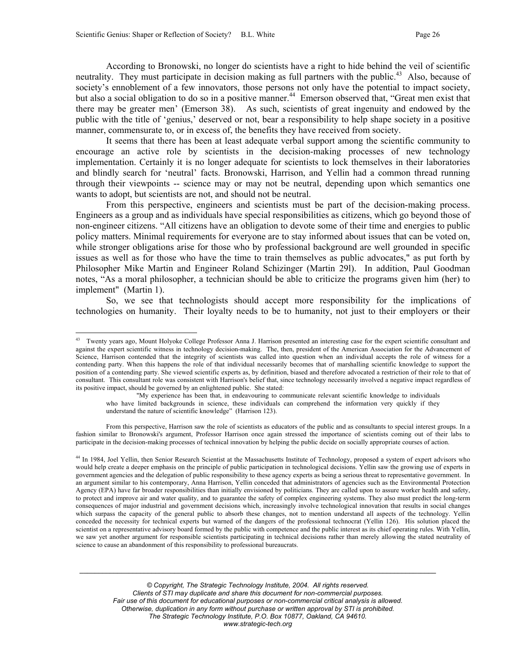According to Bronowski, no longer do scientists have a right to hide behind the veil of scientific neutrality. They must participate in decision making as full partners with the public.<sup>43</sup> Also, because of society's ennoblement of a few innovators, those persons not only have the potential to impact society, but also a social obligation to do so in a positive manner.<sup>44</sup> Emerson observed that, "Great men exist that there may be greater men' (Emerson 38). As such, scientists of great ingenuity and endowed by the public with the title of 'genius,' deserved or not, bear a responsibility to help shape society in a positive manner, commensurate to, or in excess of, the benefits they have received from society.

It seems that there has been at least adequate verbal support among the scientific community to encourage an active role by scientists in the decision-making processes of new technology implementation. Certainly it is no longer adequate for scientists to lock themselves in their laboratories and blindly search for 'neutral' facts. Bronowski, Harrison, and Yellin had a common thread running through their viewpoints -- science may or may not be neutral, depending upon which semantics one wants to adopt, but scientists are not, and should not be neutral.

From this perspective, engineers and scientists must be part of the decision-making process. Engineers as a group and as individuals have special responsibilities as citizens, which go beyond those of non-engineer citizens. "All citizens have an obligation to devote some of their time and energies to public policy matters. Minimal requirements for everyone are to stay informed about issues that can be voted on, while stronger obligations arise for those who by professional background are well grounded in specific issues as well as for those who have the time to train themselves as public advocates," as put forth by Philosopher Mike Martin and Engineer Roland Schizinger (Martin 29l). In addition, Paul Goodman notes, "As a moral philosopher, a technician should be able to criticize the programs given him (her) to implement" (Martin 1).

So, we see that technologists should accept more responsibility for the implications of technologies on humanity. Their loyalty needs to be to humanity, not just to their employers or their

"My experience has been that, in endeavouring to communicate relevant scientific knowledge to individuals who have limited backgrounds in science, these individuals can comprehend the information very quickly if they understand the nature of scientific knowledge" (Harrison 123).

From this perspective, Harrison saw the role of scientists as educators of the public and as consultants to special interest groups. In a fashion similar to Bronowski's argument, Professor Harrison once again stressed the importance of scientists coming out of their labs to participate in the decision-making processes of technical innovation by helping the public decide on socially appropriate courses of action.

<span id="page-25-1"></span>44 In 1984, Joel Yellin, then Senior Research Scientist at the Massachusetts Institute of Technology, proposed a system of expert advisors who would help create a deeper emphasis on the principle of public participation in technological decisions. Yellin saw the growing use of experts in government agencies and the delegation of public responsibility to these agency experts as being a serious threat to representative government. In an argument similar to his contemporary, Anna Harrison, Yellin conceded that administrators of agencies such as the Environmental Protection Agency (EPA) have far broader responsibilities than initially envisioned by politicians. They are called upon to assure worker health and safety, to protect and improve air and water quality, and to guarantee the safety of complex engineering systems. They also must predict the long-term consequences of major industrial and government decisions which, increasingly involve technological innovation that results in social changes which surpass the capacity of the general public to absorb these changes, not to mention understand all aspects of the technology. Yellin conceded the necessity for technical experts but warned of the dangers of the professional technocrat (Yellin 126). His solution placed the scientist on a representative advisory board formed by the public with competence and the public interest as its chief operating rules. With Yellin, we saw yet another argument for responsible scientists participating in technical decisions rather than merely allowing the stated neutrality of science to cause an abandonment of this responsibility to professional bureaucrats.

<span id="page-25-0"></span><sup>&</sup>lt;sup>43</sup> Twenty years ago, Mount Holyoke College Professor Anna J. Harrison presented an interesting case for the expert scientific consultant and against the expert scientific witness in technology decision-making. The, then, president of the American Association for the Advancement of Science, Harrison contended that the integrity of scientists was called into question when an individual accepts the role of witness for a contending party. When this happens the role of that individual necessarily becomes that of marshalling scientific knowledge to support the position of a contending party. She viewed scientific experts as, by definition, biased and therefore advocated a restriction of their role to that of consultant. This consultant role was consistent with Harrison's belief that, since technology necessarily involved a negative impact regardless of its positive impact, should be governed by an enlightened public. She stated: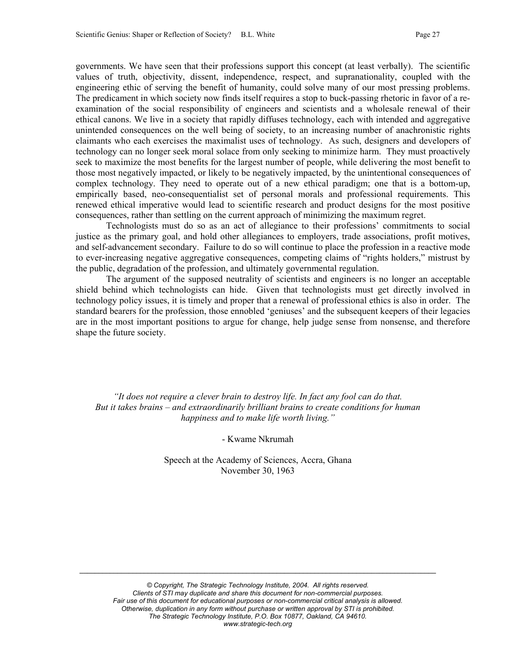governments. We have seen that their professions support this concept (at least verbally). The scientific values of truth, objectivity, dissent, independence, respect, and supranationality, coupled with the engineering ethic of serving the benefit of humanity, could solve many of our most pressing problems. The predicament in which society now finds itself requires a stop to buck-passing rhetoric in favor of a reexamination of the social responsibility of engineers and scientists and a wholesale renewal of their ethical canons. We live in a society that rapidly diffuses technology, each with intended and aggregative unintended consequences on the well being of society, to an increasing number of anachronistic rights claimants who each exercises the maximalist uses of technology. As such, designers and developers of technology can no longer seek moral solace from only seeking to minimize harm. They must proactively seek to maximize the most benefits for the largest number of people, while delivering the most benefit to those most negatively impacted, or likely to be negatively impacted, by the unintentional consequences of complex technology. They need to operate out of a new ethical paradigm; one that is a bottom-up, empirically based, neo-consequentialist set of personal morals and professional requirements. This renewed ethical imperative would lead to scientific research and product designs for the most positive consequences, rather than settling on the current approach of minimizing the maximum regret.

Technologists must do so as an act of allegiance to their professions' commitments to social justice as the primary goal, and hold other allegiances to employers, trade associations, profit motives, and self-advancement secondary. Failure to do so will continue to place the profession in a reactive mode to ever-increasing negative aggregative consequences, competing claims of "rights holders," mistrust by the public, degradation of the profession, and ultimately governmental regulation.

The argument of the supposed neutrality of scientists and engineers is no longer an acceptable shield behind which technologists can hide. Given that technologists must get directly involved in technology policy issues, it is timely and proper that a renewal of professional ethics is also in order. The standard bearers for the profession, those ennobled 'geniuses' and the subsequent keepers of their legacies are in the most important positions to argue for change, help judge sense from nonsense, and therefore shape the future society.

*"It does not require a clever brain to destroy life. In fact any fool can do that. But it takes brains – and extraordinarily brilliant brains to create conditions for human happiness and to make life worth living."* 

- Kwame Nkrumah

Speech at the Academy of Sciences, Accra, Ghana November 30, 1963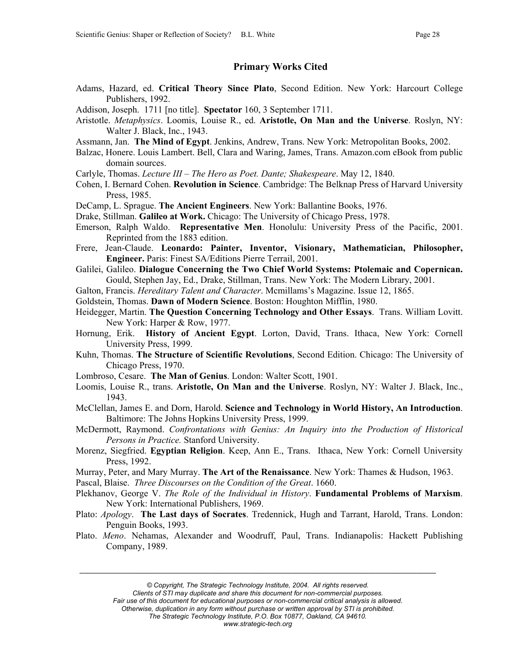### **Primary Works Cited**

- Adams, Hazard, ed. **Critical Theory Since Plato**, Second Edition. New York: Harcourt College Publishers, 1992.
- Addison, Joseph. 1711 [no title]. **Spectator** 160, 3 September 1711.
- Aristotle. *Metaphysics*. Loomis, Louise R., ed. **Aristotle, On Man and the Universe**. Roslyn, NY: Walter J. Black, Inc., 1943.
- Assmann, Jan. **The Mind of Egypt**. Jenkins, Andrew, Trans. New York: Metropolitan Books, 2002.
- Balzac, Honere. Louis Lambert. Bell, Clara and Waring, James, Trans. Amazon.com eBook from public domain sources.
- Carlyle, Thomas. *Lecture III The Hero as Poet. Dante; Shakespeare*. May 12, 1840.
- Cohen, I. Bernard Cohen. **Revolution in Science**. Cambridge: The Belknap Press of Harvard University Press, 1985.
- DeCamp, L. Sprague. **The Ancient Engineers**. New York: Ballantine Books, 1976.
- Drake, Stillman. **Galileo at Work.** Chicago: The University of Chicago Press, 1978.
- Emerson, Ralph Waldo. **Representative Men**. Honolulu: University Press of the Pacific, 2001. Reprinted from the 1883 edition.
- Frere, Jean-Claude. **Leonardo: Painter, Inventor, Visionary, Mathematician, Philosopher, Engineer.** Paris: Finest SA/Editions Pierre Terrail, 2001.
- Galilei, Galileo. **Dialogue Concerning the Two Chief World Systems: Ptolemaic and Copernican.** Gould, Stephen Jay, Ed., Drake, Stillman, Trans. New York: The Modern Library, 2001.
- Galton, Francis. *Hereditary Talent and Character*. Mcmillams's Magazine. Issue 12, 1865.

Goldstein, Thomas. **Dawn of Modern Science**. Boston: Houghton Mifflin, 1980.

- Heidegger, Martin. **The Question Concerning Technology and Other Essays**. Trans. William Lovitt. New York: Harper & Row, 1977.
- Hornung, Erik. **History of Ancient Egypt**. Lorton, David, Trans. Ithaca, New York: Cornell University Press, 1999.
- Kuhn, Thomas. **The Structure of Scientific Revolutions**, Second Edition. Chicago: The University of Chicago Press, 1970.
- Lombroso, Cesare. **The Man of Genius**. London: Walter Scott, 1901.
- Loomis, Louise R., trans. **Aristotle, On Man and the Universe**. Roslyn, NY: Walter J. Black, Inc., 1943.
- McClellan, James E. and Dorn, Harold. **Science and Technology in World History, An Introduction**. Baltimore: The Johns Hopkins University Press, 1999.
- McDermott, Raymond. *Confrontations with Genius: An Inquiry into the Production of Historical Persons in Practice.* Stanford University.
- Morenz, Siegfried. **Egyptian Religion**. Keep, Ann E., Trans. Ithaca, New York: Cornell University Press, 1992.
- Murray, Peter, and Mary Murray. **The Art of the Renaissance**. New York: Thames & Hudson, 1963.
- Pascal, Blaise. *Three Discourses on the Condition of the Great*. 1660.
- Plekhanov, George V. *The Role of the Individual in History*. **Fundamental Problems of Marxism**. New York: International Publishers, 1969.
- Plato: *Apology*. **The Last days of Socrates**. Tredennick, Hugh and Tarrant, Harold, Trans. London: Penguin Books, 1993.
- Plato. *Meno*. Nehamas, Alexander and Woodruff, Paul, Trans. Indianapolis: Hackett Publishing Company, 1989.

*Clients of STI may duplicate and share this document for non-commercial purposes.* 

*Fair use of this document for educational purposes or non-commercial critical analysis is allowed.* 

*Otherwise, duplication in any form without purchase or written approval by STI is prohibited.* 

*The Strategic Technology Institute, P.O. Box 10877, Oakland, CA 94610. www.strategic-tech.org*

*<sup>©</sup> Copyright, The Strategic Technology Institute, 2004. All rights reserved.*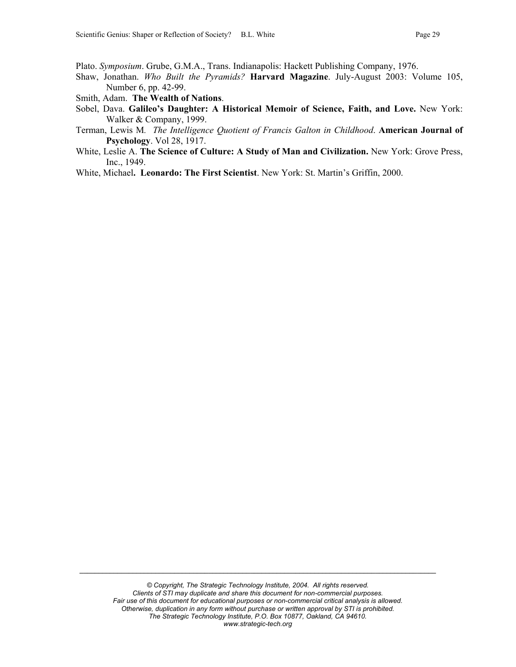Plato. *Symposium*. Grube, G.M.A., Trans. Indianapolis: Hackett Publishing Company, 1976.

- Shaw, Jonathan. *Who Built the Pyramids?* **Harvard Magazine**. July-August 2003: Volume 105, Number 6, pp. 42-99.
- Smith, Adam. **The Wealth of Nations**.
- Sobel, Dava. **Galileo's Daughter: A Historical Memoir of Science, Faith, and Love.** New York: Walker & Company, 1999.
- Terman, Lewis M*. The Intelligence Quotient of Francis Galton in Childhood*. **American Journal of Psychology**. Vol 28, 1917.
- White, Leslie A. **The Science of Culture: A Study of Man and Civilization.** New York: Grove Press, Inc., 1949.
- White, Michael**. Leonardo: The First Scientist**. New York: St. Martin's Griffin, 2000.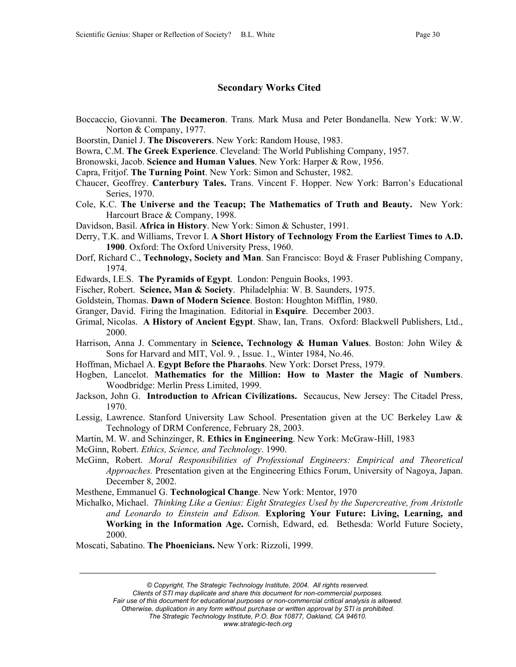# **Secondary Works Cited**

- Boccaccio, Giovanni. **The Decameron**. Trans. Mark Musa and Peter Bondanella. New York: W.W. Norton & Company, 1977.
- Boorstin, Daniel J. **The Discoverers**. New York: Random House, 1983.
- Bowra, C.M. **The Greek Experience**. Cleveland: The World Publishing Company, 1957.
- Bronowski, Jacob. **Science and Human Values**. New York: Harper & Row, 1956.
- Capra, Fritjof. **The Turning Point**. New York: Simon and Schuster, 1982.
- Chaucer, Geoffrey. **Canterbury Tales.** Trans. Vincent F. Hopper. New York: Barron's Educational Series, 1970.
- Cole, K.C. **The Universe and the Teacup; The Mathematics of Truth and Beauty.** New York: Harcourt Brace & Company, 1998.
- Davidson, Basil. **Africa in History**. New York: Simon & Schuster, 1991.
- Derry, T.K. and Williams, Trevor I. **A Short History of Technology From the Earliest Times to A.D. 1900**. Oxford: The Oxford University Press, 1960.
- Dorf, Richard C., **Technology, Society and Man**. San Francisco: Boyd & Fraser Publishing Company, 1974.
- Edwards, I.E.S. **The Pyramids of Egypt**. London: Penguin Books, 1993.
- Fischer, Robert. **Science, Man & Society**. Philadelphia: W. B. Saunders, 1975.
- Goldstein, Thomas. **Dawn of Modern Science**. Boston: Houghton Mifflin, 1980.
- Granger, David. Firing the Imagination. Editorial in **Esquire**. December 2003.
- Grimal, Nicolas. **A History of Ancient Egypt**. Shaw, Ian, Trans. Oxford: Blackwell Publishers, Ltd., 2000.
- Harrison, Anna J. Commentary in **Science, Technology & Human Values**. Boston: John Wiley & Sons for Harvard and MIT, Vol. 9. , Issue. 1., Winter 1984, No.46.
- Hoffman, Michael A. **Egypt Before the Pharaohs**. New York: Dorset Press, 1979.
- Hogben, Lancelot. **Mathematics for the Million: How to Master the Magic of Numbers**. Woodbridge: Merlin Press Limited, 1999.
- Jackson, John G. **Introduction to African Civilizations.** Secaucus, New Jersey: The Citadel Press, 1970.
- Lessig, Lawrence. Stanford University Law School. Presentation given at the UC Berkeley Law & Technology of DRM Conference, February 28, 2003.
- Martin, M. W. and Schinzinger, R. **Ethics in Engineering**. New York: McGraw-Hill, 1983
- McGinn, Robert. *Ethics, Science, and Technology*. 1990.
- McGinn, Robert. *Moral Responsibilities of Professional Engineers: Empirical and Theoretical Approaches.* Presentation given at the Engineering Ethics Forum, University of Nagoya, Japan. December 8, 2002.
- Mesthene, Emmanuel G. **Technological Change**. New York: Mentor, 1970
- Michalko, Michael. *Thinking Like a Genius: Eight Strategies Used by the Supercreative, from Aristotle and Leonardo to Einstein and Edison.* **Exploring Your Future: Living, Learning, and Working in the Information Age.** Cornish, Edward, ed. Bethesda: World Future Society, 2000.
- Moscati, Sabatino. **The Phoenicians.** New York: Rizzoli, 1999.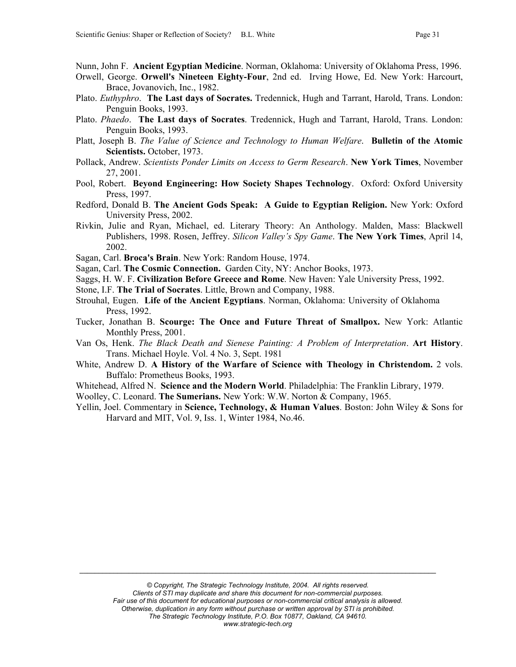Nunn, John F. **Ancient Egyptian Medicine**. Norman, Oklahoma: University of Oklahoma Press, 1996.

- Orwell, George. **Orwell's Nineteen Eighty-Four**, 2nd ed. Irving Howe, Ed. New York: Harcourt, Brace, Jovanovich, Inc., 1982.
- Plato. *Euthyphro*. **The Last days of Socrates.** Tredennick, Hugh and Tarrant, Harold, Trans. London: Penguin Books, 1993.
- Plato. *Phaedo*. **The Last days of Socrates**. Tredennick, Hugh and Tarrant, Harold, Trans. London: Penguin Books, 1993.
- Platt, Joseph B. *The Value of Science and Technology to Human Welfare*. **Bulletin of the Atomic Scientists.** October, 1973.
- Pollack, Andrew. *Scientists Ponder Limits on Access to Germ Research*. **New York Times**, November 27, 2001.
- Pool, Robert. **Beyond Engineering: How Society Shapes Technology**. Oxford: Oxford University Press, 1997.
- Redford, Donald B. **The Ancient Gods Speak: A Guide to Egyptian Religion.** New York: Oxford University Press, 2002.
- Rivkin, Julie and Ryan, Michael, ed. Literary Theory: An Anthology. Malden, Mass: Blackwell Publishers, 1998. Rosen, Jeffrey. *Silicon Valley's Spy Game*. **The New York Times**, April 14, 2002.
- Sagan, Carl. **Broca's Brain**. New York: Random House, 1974.
- Sagan, Carl. **The Cosmic Connection.** Garden City, NY: Anchor Books, 1973.
- Saggs, H. W. F. **Civilization Before Greece and Rome**. New Haven: Yale University Press, 1992.
- Stone, I.F. **The Trial of Socrates**. Little, Brown and Company, 1988.
- Strouhal, Eugen. **Life of the Ancient Egyptians**. Norman, Oklahoma: University of Oklahoma Press, 1992.
- Tucker, Jonathan B. **Scourge: The Once and Future Threat of Smallpox.** New York: Atlantic Monthly Press, 2001.
- Van Os, Henk. *The Black Death and Sienese Painting: A Problem of Interpretation*. **Art History**. Trans. Michael Hoyle. Vol. 4 No. 3, Sept. 1981
- White, Andrew D. **A History of the Warfare of Science with Theology in Christendom.** 2 vols. Buffalo: Prometheus Books, 1993.
- Whitehead, Alfred N. **Science and the Modern World**. Philadelphia: The Franklin Library, 1979.
- Woolley, C. Leonard. **The Sumerians.** New York: W.W. Norton & Company, 1965.
- Yellin, Joel. Commentary in **Science, Technology, & Human Values**. Boston: John Wiley & Sons for Harvard and MIT, Vol. 9, Iss. 1, Winter 1984, No.46.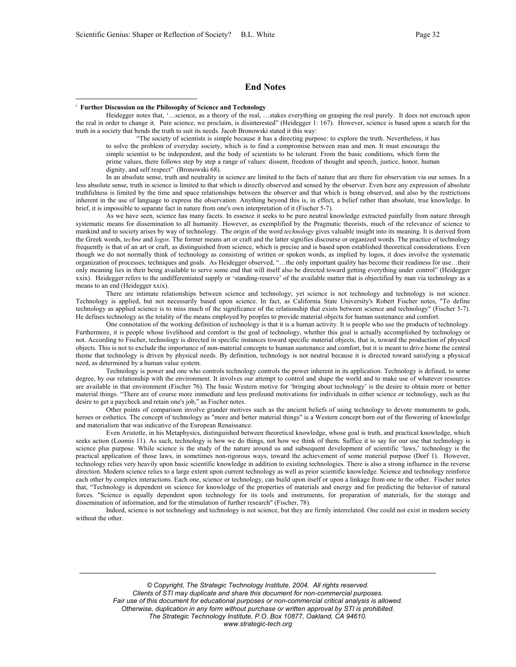#### **End Notes**

#### i **Further Discussion on the Philosophy of Science and Technology**

 $\overline{a}$ 

Heidegger notes that, '…science, as a theory of the real, …stakes everything on grasping the real purely. It does not encroach upon the real in order to change it. Pure science, we proclaim, is disinterested" (Heidegger 1: 167). However, science is based upon a search for the truth in a society that bends the truth to suit its needs. Jacob Bronowski stated it this way:

"The society of scientists is simple because it has a directing purpose: to explore the truth. Nevertheless, it has to solve the problem of everyday society, which is to find a compromise between man and men. It must encourage the simple scientist to be independent, and the body of scientists to be tolerant. From the basic conditions, which form the prime values, there follows step by step a range of values: dissent, freedom of thought and speech, justice, honor, human dignity, and self respect" (Bronowski 68).

In an absolute sense, truth and neutrality in science are limited to the facts of nature that are there for observation via our senses. In a less absolute sense, truth in science is limited to that which is directly observed and sensed by the observer. Even here any expression of absolute truthfulness is limited by the time and space relationships between the observer and that which is being observed, and also by the restrictions inherent in the use of language to express the observation. Anything beyond this is, in effect, a belief rather than absolute, true knowledge. In brief, it is impossible to separate fact in nature from one's own interpretation of it (Fischer 5-7).

As we have seen, science has many facets. In essence it seeks to be pure neutral knowledge extracted painfully from nature through systematic means for dissemination to all humanity. However, as exemplified by the Pragmatic theorists, much of the relevance of science to mankind and to society arises by way of technology. The origin of the word *technology* gives valuable insight into its meaning. It is derived from the Greek words, *techne* and *logos*. The former means art or craft and the latter signifies discourse or organized words. The practice of technology frequently is that of an art or craft, as distinguished from science, which is precise and is based upon established theoretical considerations. Even though we do not normally think of technology as consisting of written or spoken words, as implied by logos, it does involve the systematic organization of processes, techniques and goals. As Heidegger observed, "…the only important quality has become their readiness for use…their only meaning lies in their being available to serve some end that will itself also be directed toward getting everything under control" (Heidegger xxix). Heidegger refers to the undifferentiated supply or 'standing-reserve' of the available matter that is objectified by man via technology as a means to an end (Heidegger xxix).

There are intimate relationships between science and technology; yet science is not technology and technology is not science. Technology is applied, but not necessarily based upon science. In fact, as California State University's Robert Fischer notes, "To define technology as applied science is to miss much of the significance of the relationship that exists between science and technology" (Fischer 5-7). He defines technology as the totality of the means employed by peoples to provide material objects for human sustenance and comfort.

One connotation of the working definition of technology is that it is a human activity. It is people who use the products of technology. Furthermore, it is people whose livelihood and comfort is the goal of technology, whether this goal is actually accomplished by technology or not. According to Fischer, technology is directed in specific instances toward specific material objects, that is, toward the production of physical objects. This is not to exclude the importance of non-material concepts to human sustenance and comfort, but it is meant to drive home the central theme that technology is driven by physical needs. By definition, technology is not neutral because it is directed toward satisfying a physical need, as determined by a human value system.

Technology is power and one who controls technology controls the power inherent in its application. Technology is defined, to some degree, by our relationship with the environment. It involves our attempt to control and shape the world and to make use of whatever resources are available in that environment (Fischer 76). The basic Western motive for 'bringing about technology' is the desire to obtain more or better material things. "There are of course more immediate and less profound motivations for individuals in either science or technology, such as the desire to get a paycheck and retain one's job," as Fischer notes.

Other points of comparison involve grander motives such as the ancient beliefs of using technology to devote monuments to gods, heroes or esthetics. The concept of technology as "more and better material things" is a Western concept born out of the flowering of knowledge and materialism that was indicative of the European Renaissance.

Even Aristotle, in his Metaphysics, distinguished between theoretical knowledge, whose goal is truth, and practical knowledge, which seeks action (Loomis 11). As such, technology is how we do things, not how we think of them. Suffice it to say for our use that technology is science plus purpose. While science is the study of the nature around us and subsequent development of scientific 'laws,' technology is the practical application of those laws, in sometimes non-rigorous ways, toward the achievement of some material purpose (Dorf 1). However, technology relies very heavily upon basic scientific knowledge in addition to existing technologies. There is also a strong influence in the reverse direction. Modern science relies to a large extent upon current technology as well as prior scientific knowledge. Science and technology reinforce each other by complex interactions. Each one, science or technology, can build upon itself or upon a linkage from one to the other. Fischer notes that, "Technology is dependent on science for knowledge of the properties of materials and energy and for predicting the behavior of natural forces. "Science is equally dependent upon technology for its tools and instruments, for preparation of materials, for the storage and dissemination of information, and for the stimulation of further research" (Fischer, 78).

Indeed, science is not technology and technology is not science, but they are firmly interrelated. One could not exist in modern society without the other.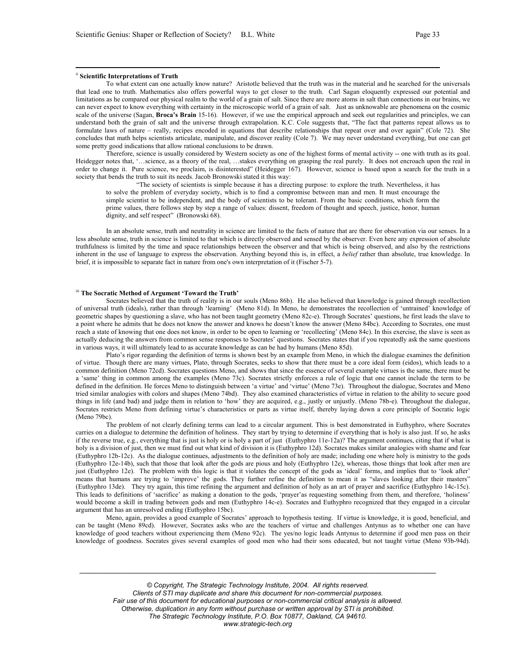#### ii **Scientific Interpretations of Truth**

To what extent can one actually know nature? Aristotle believed that the truth was in the material and he searched for the universals that lead one to truth. Mathematics also offers powerful ways to get closer to the truth. Carl Sagan eloquently expressed our potential and limitations as he compared our physical realm to the world of a grain of salt. Since there are more atoms in salt than connections in our brains, we can never expect to know everything with certainty in the microscopic world of a grain of salt. Just as unknowable are phenomena on the cosmic scale of the universe (Sagan, **Broca's Brain** 15-16). However, if we use the empirical approach and seek out regularities and principles, we can understand both the grain of salt and the universe through extrapolation. K.C. Cole suggests that, "The fact that patterns repeat allows us to formulate laws of nature – really, recipes encoded in equations that describe relationships that repeat over and over again" (Cole 72). She concludes that math helps scientists articulate, manipulate, and discover reality (Cole 7). We may never understand everything, but one can get some pretty good indications that allow rational conclusions to be drawn.

Therefore, science is usually considered by Western society as one of the highest forms of mental activity -- one with truth as its goal. Heidegger notes that, '…science, as a theory of the real, …stakes everything on grasping the real purely. It does not encroach upon the real in order to change it. Pure science, we proclaim, is disinterested" (Heidegger 167). However, science is based upon a search for the truth in a society that bends the truth to suit its needs. Jacob Bronowski stated it this way:

"The society of scientists is simple because it has a directing purpose: to explore the truth. Nevertheless, it has to solve the problem of everyday society, which is to find a compromise between man and men. It must encourage the simple scientist to be independent, and the body of scientists to be tolerant. From the basic conditions, which form the prime values, there follows step by step a range of values: dissent, freedom of thought and speech, justice, honor, human dignity, and self respect" (Bronowski 68).

In an absolute sense, truth and neutrality in science are limited to the facts of nature that are there for observation via our senses. In a less absolute sense, truth in science is limited to that which is directly observed and sensed by the observer. Even here any expression of absolute truthfulness is limited by the time and space relationships between the observer and that which is being observed, and also by the restrictions inherent in the use of language to express the observation. Anything beyond this is, in effect, a *belief* rather than absolute, true knowledge. In brief, it is impossible to separate fact in nature from one's own interpretation of it (Fischer 5-7).

#### iii **The Socratic Method of Argument 'Toward the Truth'**

Socrates believed that the truth of reality is in our souls (Meno 86b). He also believed that knowledge is gained through recollection of universal truth (ideals), rather than through 'learning' (Meno 81d). In Meno, he demonstrates the recollection of 'untrained' knowledge of geometric shapes by questioning a slave, who has not been taught geometry (Meno 82c-e). Through Socrates' questions, he first leads the slave to a point where he admits that he does not know the answer and knows he doesn't know the answer (Meno 84bc). According to Socrates, one must reach a state of knowing that one does not know, in order to be open to learning or 'recollecting' (Meno 84c). In this exercise, the slave is seen as actually deducing the answers from common sense responses to Socrates' questions. Socrates states that if you repeatedly ask the same questions in various ways, it will ultimately lead to as accurate knowledge as can be had by humans (Meno 85d).

Plato's rigor regarding the definition of terms is shown best by an example from Meno, in which the dialogue examines the definition of virtue. Though there are many virtues, Plato, through Socrates, seeks to show that there must be a core ideal form (eidos), which leads to a common definition (Meno 72cd). Socrates questions Meno, and shows that since the essence of several example virtues is the same, there must be a 'same' thing in common among the examples (Meno 73c). Socrates strictly enforces a rule of logic that one cannot include the term to be defined in the definition. He forces Meno to distinguish between 'a virtue' and 'virtue' (Meno 73e). Throughout the dialogue, Socrates and Meno tried similar analogies with colors and shapes (Meno 74bd). They also examined characteristics of virtue in relation to the ability to secure good things in life (and bad) and judge them in relation to 'how' they are acquired, e.g., justly or unjustly. (Meno 78b-e). Throughout the dialogue, Socrates restricts Meno from defining virtue's characteristics or parts as virtue itself, thereby laying down a core principle of Socratic logic (Meno 79bc).

The problem of not clearly defining terms can lead to a circular argument. This is best demonstrated in Euthyphro, where Socrates carries on a dialogue to determine the definition of holiness. They start by trying to determine if everything that is holy is also just. If so, he asks if the reverse true, e.g., everything that is just is holy or is holy a part of just (Euthyphro 11e-12a)? The argument continues, citing that if what is holy is a division of just, then we must find out what kind of division it is (Euthyphro 12d). Socrates makes similar analogies with shame and fear (Euthyphro 12b-12c). As the dialogue continues, adjustments to the definition of holy are made; including one where holy is ministry to the gods (Euthyphro 12e-14b), such that those that look after the gods are pious and holy (Euthyphro 12e), whereas, those things that look after men are just (Euthyphro 12e). The problem with this logic is that it violates the concept of the gods as 'ideal' forms, and implies that to 'look after' means that humans are trying to 'improve' the gods. They further refine the definition to mean it as "slaves looking after their masters" (Euthyphro 13de). They try again, this time refining the argument and definition of holy as an art of prayer and sacrifice (Euthyphro 14c-15c). This leads to definitions of 'sacrifice' as making a donation to the gods, 'prayer'as requesting something from them, and therefore, 'holiness' would become a skill in trading between gods and men (Euthyphro 14c-e). Socrates and Euthyphro recognized that they engaged in a circular argument that has an unresolved ending (Euthyphro 15bc).

Meno, again, provides a good example of Socrates' approach to hypothesis testing. If virtue is knowledge, it is good, beneficial, and can be taught (Meno 89cd). However, Socrates asks who are the teachers of virtue and challenges Antynus as to whether one can have knowledge of good teachers without experiencing them (Meno 92c). The yes/no logic leads Antynus to determine if good men pass on their knowledge of goodness. Socrates gives several examples of good men who had their sons educated, but not taught virtue (Meno 93b-94d).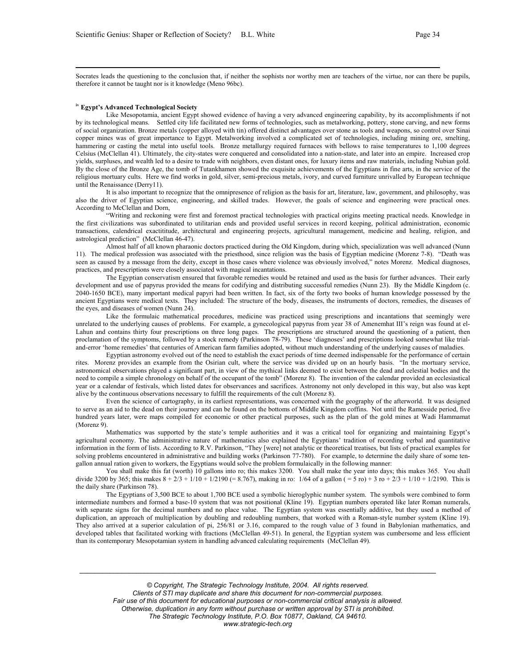Socrates leads the questioning to the conclusion that, if neither the sophists nor worthy men are teachers of the virtue, nor can there be pupils, therefore it cannot be taught nor is it knowledge (Meno 96bc).

#### **iv Egypt's Advanced Technological Society**

Like Mesopotamia, ancient Egypt showed evidence of having a very advanced engineering capability, by its accomplishments if not by its technological means. Settled city life facilitated new forms of technologies, such as metalworking, pottery, stone carving, and new forms of social organization. Bronze metals (copper alloyed with tin) offered distinct advantages over stone as tools and weapons, so control over Sinai copper mines was of great importance to Egypt. Metalworking involved a complicated set of technologies, including mining ore, smelting, hammering or casting the metal into useful tools. Bronze metallurgy required furnaces with bellows to raise temperatures to 1,100 degrees Celsius (McClellan 41). Ultimately, the city-states were conquered and consolidated into a nation-state, and later into an empire. Increased crop yields, surpluses, and wealth led to a desire to trade with neighbors, even distant ones, for luxury items and raw materials, including Nubian gold. By the close of the Bronze Age, the tomb of Tutankhamen showed the exquisite achievements of the Egyptians in fine arts, in the service of the religious mortuary cults. Here we find works in gold, silver, semi-precious metals, ivory, and curved furniture unrivalled by European technique until the Renaissance (Derry11).

It is also important to recognize that the omnipresence of religion as the basis for art, literature, law, government, and philosophy, was also the driver of Egyptian science, engineering, and skilled trades. However, the goals of science and engineering were practical ones. According to McClellan and Dorn,

"Writing and reckoning were first and foremost practical technologies with practical origins meeting practical needs. Knowledge in the first civilizations was subordinated to utilitarian ends and provided useful services in record keeping, political administration, economic transactions, calendrical exactititude, architectural and engineering projects, agricultural management, medicine and healing, religion, and astrological prediction" (McClellan 46-47).

Almost half of all known pharaonic doctors practiced during the Old Kingdom, during which, specialization was well advanced (Nunn 11). The medical profession was associated with the priesthood, since religion was the basis of Egyptian medicine (Morenz 7-8). "Death was seen as caused by a message from the deity, except in those cases where violence was obviously involved," notes Morenz. Medical diagnoses, practices, and prescriptions were closely associated with magical incantations.

The Egyptian conservatism ensured that favorable remedies would be retained and used as the basis for further advances. Their early development and use of papyrus provided the means for codifying and distributing successful remedies (Nunn 23). By the Middle Kingdom (c. 2040-1650 BCE), many important medical papyri had been written. In fact, six of the forty two books of human knowledge possessed by the ancient Egyptians were medical texts. They included: The structure of the body, diseases, the instruments of doctors, remedies, the diseases of the eyes, and diseases of women (Nunn 24).

Like the formulaic mathematical procedures, medicine was practiced using prescriptions and incantations that seemingly were unrelated to the underlying causes of problems. For example, a gynecological papyrus from year 38 of Amenemhat III's reign was found at el-Lahun and contains thirty four prescriptions on three long pages. The prescriptions are structured around the questioning of a patient, then proclamation of the symptoms, followed by a stock remedy (Parkinson 78-79). These 'diagnoses' and prescriptions looked somewhat like trialand-error 'home remedies' that centuries of American farm families adopted, without much understanding of the underlying causes of maladies.

Egyptian astronomy evolved out of the need to establish the exact periods of time deemed indispensable for the performance of certain rites. Morenz provides an example from the Osirian cult, where the service was divided up on an hourly basis. "In the mortuary service, astronomical observations played a significant part, in view of the mythical links deemed to exist between the dead and celestial bodies and the need to compile a simple chronology on behalf of the occupant of the tomb" (Morenz 8). The invention of the calendar provided an ecclesiastical year or a calendar of festivals, which listed dates for observances and sacrifices. Astronomy not only developed in this way, but also was kept alive by the continuous observations necessary to fulfill the requirements of the cult (Morenz 8).

Even the science of cartography, in its earliest representations, was concerned with the geography of the afterworld. It was designed to serve as an aid to the dead on their journey and can be found on the bottoms of Middle Kingdom coffins. Not until the Ramesside period, five hundred years later, were maps compiled for economic or other practical purposes, such as the plan of the gold mines at Wadi Hammamat (Morenz 9).

Mathematics was supported by the state's temple authorities and it was a critical tool for organizing and maintaining Egypt's agricultural economy. The administrative nature of mathematics also explained the Egyptians' tradition of recording verbal and quantitative information in the form of lists. According to R.V. Parkinson, "They [were] not analytic or theoretical treatises, but lists of practical examples for solving problems encountered in administrative and building works (Parkinson 77-780). For example, to determine the daily share of some tengallon annual ration given to workers, the Egyptians would solve the problem formulaically in the following manner:

You shall make this fat (worth) 10 gallons into ro; this makes 3200. You shall make the year into days; this makes 365. You shall divide 3200 by 365; this makes  $8 + 2/3 + 1/10 + 1/2190$  (= 8.767), making in ro:  $1/64$  of a gallon (= 5 ro) + 3 ro + 2/3 + 1/10 + 1/2190. This is the daily share (Parkinson 78).

The Egyptians of 3,500 BCE to about 1,700 BCE used a symbolic hieroglyphic number system. The symbols were combined to form intermediate numbers and formed a base-10 system that was not positional (Kline 19). Egyptian numbers operated like later Roman numerals, with separate signs for the decimal numbers and no place value. The Egyptian system was essentially additive, but they used a method of duplication, an approach of multiplication by doubling and redoubling numbers, that worked with a Roman-style number system (Kline 19). They also arrived at a superior calculation of pi, 256/81 or 3.16, compared to the rough value of 3 found in Babylonian mathematics, and developed tables that facilitated working with fractions (McClellan 49-51). In general, the Egyptian system was cumbersome and less efficient than its contemporary Mesopotamian system in handling advanced calculating requirements (McClellan 49).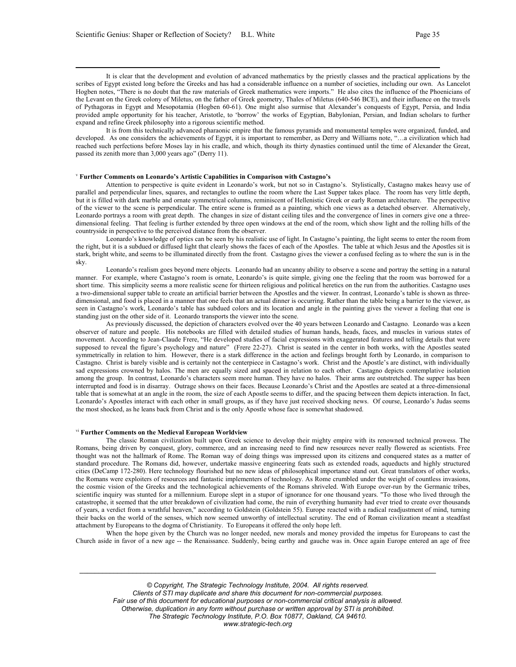It is clear that the development and evolution of advanced mathematics by the priestly classes and the practical applications by the scribes of Egypt existed long before the Greeks and has had a considerable influence on a number of societies, including our own. As Lancelot Hogben notes, "There is no doubt that the raw materials of Greek mathematics were imports." He also cites the influence of the Phoenicians of the Levant on the Greek colony of Miletus, on the father of Greek geometry, Thales of Miletus (640-546 BCE), and their influence on the travels of Pythagoras in Egypt and Mesopotamia (Hogben 60-61). One might also surmise that Alexander's conquests of Egypt, Persia, and India provided ample opportunity for his teacher, Aristotle, to 'borrow' the works of Egyptian, Babylonian, Persian, and Indian scholars to further expand and refine Greek philosophy into a rigorous scientific method.

It is from this technically advanced pharaonic empire that the famous pyramids and monumental temples were organized, funded, and developed. As one considers the achievements of Egypt, it is important to remember, as Derry and Williams note, "…a civilization which had reached such perfections before Moses lay in his cradle, and which, though its thirty dynasties continued until the time of Alexander the Great, passed its zenith more than 3,000 years ago" (Derry 11).

#### <sup>v</sup> **Further Comments on Leonardo's Artistic Capabilities in Comparison with Castagno's**

Attention to perspective is quite evident in Leonardo's work, but not so in Castagno's. Stylistically, Castagno makes heavy use of parallel and perpendicular lines, squares, and rectangles to outline the room where the Last Supper takes place. The room has very little depth, but it is filled with dark marble and ornate symmetrical columns, reminiscent of Hellenistic Greek or early Roman architecture. The perspective of the viewer to the scene is perpendicular. The entire scene is framed as a painting, which one views as a detached observer. Alternatively, Leonardo portrays a room with great depth. The changes in size of distant ceiling tiles and the convergence of lines in corners give one a threedimensional feeling. That feeling is further extended by three open windows at the end of the room, which show light and the rolling hills of the countryside in perspective to the perceived distance from the observer.

Leonardo's knowledge of optics can be seen by his realistic use of light. In Castagno's painting, the light seems to enter the room from the right, but it is a subdued or diffused light that clearly shows the faces of each of the Apostles. The table at which Jesus and the Apostles sit is stark, bright white, and seems to be illuminated directly from the front. Castagno gives the viewer a confused feeling as to where the sun is in the sky.

Leonardo's realism goes beyond mere objects. Leonardo had an uncanny ability to observe a scene and portray the setting in a natural manner. For example, where Castagno's room is ornate, Leonardo's is quite simple, giving one the feeling that the room was borrowed for a short time. This simplicity seems a more realistic scene for thirteen religious and political heretics on the run from the authorities. Castagno uses a two-dimensional supper table to create an artificial barrier between the Apostles and the viewer. In contrast, Leonardo's table is shown as threedimensional, and food is placed in a manner that one feels that an actual dinner is occurring. Rather than the table being a barrier to the viewer, as seen in Castagno's work, Leonardo's table has subdued colors and its location and angle in the painting gives the viewer a feeling that one is standing just on the other side of it. Leonardo transports the viewer into the scene.

As previously discussed, the depiction of characters evolved over the 40 years between Leonardo and Castagno. Leonardo was a keen observer of nature and people. His notebooks are filled with detailed studies of human hands, heads, faces, and muscles in various states of movement. According to Jean-Claude Frere, "He developed studies of facial expressions with exaggerated features and telling details that were supposed to reveal the figure's psychology and nature" (Frere 22-27). Christ is seated in the center in both works, with the Apostles seated symmetrically in relation to him. However, there is a stark difference in the action and feelings brought forth by Leonardo, in comparison to Castagno. Christ is barely visible and is certainly not the centerpiece in Castagno's work. Christ and the Apostle's are distinct, with individually sad expressions crowned by halos. The men are equally sized and spaced in relation to each other. Castagno depicts contemplative isolation among the group. In contrast, Leonardo's characters seem more human. They have no halos. Their arms are outstretched. The supper has been interrupted and food is in disarray. Outrage shows on their faces. Because Leonardo's Christ and the Apostles are seated at a three-dimensional table that is somewhat at an angle in the room, the size of each Apostle seems to differ, and the spacing between them depicts interaction. In fact, Leonardo's Apostles interact with each other in small groups, as if they have just received shocking news. Of course, Leonardo's Judas seems the most shocked, as he leans back from Christ and is the only Apostle whose face is somewhat shadowed.

#### vi **Further Comments on the Medieval European Worldview**

The classic Roman civilization built upon Greek science to develop their mighty empire with its renowned technical prowess. The Romans, being driven by conquest, glory, commerce, and an increasing need to find new resources never really flowered as scientists. Free thought was not the hallmark of Rome. The Roman way of doing things was impressed upon its citizens and conquered states as a matter of standard procedure. The Romans did, however, undertake massive engineering feats such as extended roads, aqueducts and highly structured cities (DeCamp 172-280). Here technology flourished but no new ideas of philosophical importance stand out. Great translators of other works, the Romans were exploiters of resources and fantastic implementers of technology. As Rome crumbled under the weight of countless invasions, the cosmic vision of the Greeks and the technological achievements of the Romans shriveled. With Europe over-run by the Germanic tribes, scientific inquiry was stunted for a millennium. Europe slept in a stupor of ignorance for one thousand years. "To those who lived through the catastrophe, it seemed that the utter breakdown of civilization had come, the ruin of everything humanity had ever tried to create over thousands of years, a verdict from a wrathful heaven," according to Goldstein (Goldstein 55). Europe reacted with a radical readjustment of mind, turning their backs on the world of the senses, which now seemed unworthy of intellectual scrutiny. The end of Roman civilization meant a steadfast attachment by Europeans to the dogma of Christianity. To Europeans it offered the only hope left.

When the hope given by the Church was no longer needed, new morals and money provided the impetus for Europeans to cast the Church aside in favor of a new age -- the Renaissance. Suddenly, being earthy and gauche was in. Once again Europe entered an age of free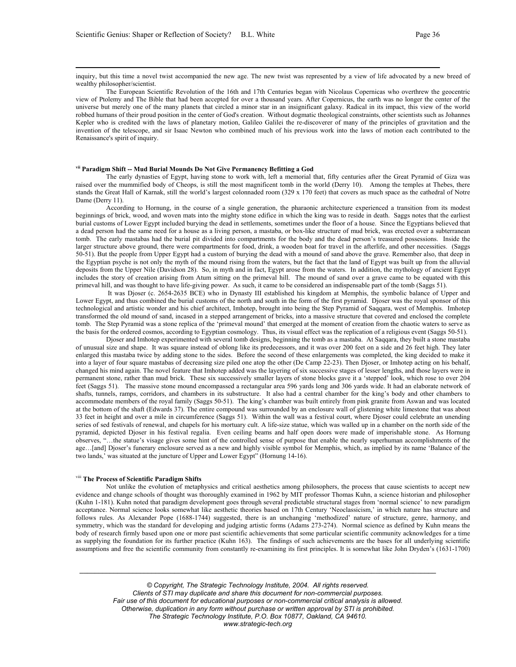inquiry, but this time a novel twist accompanied the new age. The new twist was represented by a view of life advocated by a new breed of wealthy philosopher/scientist.

The European Scientific Revolution of the 16th and 17th Centuries began with Nicolaus Copernicas who overthrew the geocentric view of Ptolemy and The Bible that had been accepted for over a thousand years. After Copernicus, the earth was no longer the center of the universe but merely one of the many planets that circled a minor star in an insignificant galaxy. Radical in its impact, this view of the world robbed humans of their proud position in the center of God's creation. Without dogmatic theological constraints, other scientists such as Johannes Kepler who is credited with the laws of planetary motion, Galileo Galilei the re-discoverer of many of the principles of gravitation and the invention of the telescope, and sir Isaac Newton who combined much of his previous work into the laws of motion each contributed to the Renaissance's spirit of inquiry.

#### **vii Paradigm Shift -- Mud Burial Mounds Do Not Give Permanency Befitting a God**

The early dynasties of Egypt, having stone to work with, left a memorial that, fifty centuries after the Great Pyramid of Giza was raised over the mummified body of Cheops, is still the most magnificent tomb in the world (Derry 10). Among the temples at Thebes, there stands the Great Hall of Karnak, still the world's largest colonnaded room (329 x 170 feet) that covers as much space as the cathedral of Notre Dame (Derry 11).

According to Hornung, in the course of a single generation, the pharaonic architecture experienced a transition from its modest beginnings of brick, wood, and woven mats into the mighty stone edifice in which the king was to reside in death. Saggs notes that the earliest burial customs of Lower Egypt included burying the dead in settlements, sometimes under the floor of a house. Since the Egyptians believed that a dead person had the same need for a house as a living person, a mastaba, or box-like structure of mud brick, was erected over a subterranean tomb. The early mastabas had the burial pit divided into compartments for the body and the dead person's treasured possessions. Inside the larger structure above ground, there were compartments for food, drink, a wooden boat for travel in the afterlife, and other necessities. (Saggs 50-51). But the people from Upper Egypt had a custom of burying the dead with a mound of sand above the grave. Remember also, that deep in the Egyptian psyche is not only the myth of the mound rising from the waters, but the fact that the land of Egypt was built up from the alluvial deposits from the Upper Nile (Davidson 28). So, in myth and in fact, Egypt arose from the waters. In addition, the mythology of ancient Egypt includes the story of creation arising from Atum sitting on the primeval hill. The mound of sand over a grave came to be equated with this primeval hill, and was thought to have life-giving power. As such, it came to be considered an indispensable part of the tomb (Saggs 51).

 It was Djoser (c. 2654-2635 BCE) who in Dynasty III established his kingdom at Memphis, the symbolic balance of Upper and Lower Egypt, and thus combined the burial customs of the north and south in the form of the first pyramid. Djoser was the royal sponsor of this technological and artistic wonder and his chief architect, Imhotep, brought into being the Step Pyramid of Saqqara, west of Memphis. Imhotep transformed the old mound of sand, incased in a stepped arrangement of bricks, into a massive structure that covered and enclosed the complete tomb. The Step Pyramid was a stone replica of the 'primeval mound' that emerged at the moment of creation from the chaotic waters to serve as the basis for the ordered cosmos, according to Egyptian cosmology. Thus, its visual effect was the replication of a religious event (Saggs 50-51).

Djoser and Imhotep experimented with several tomb designs, beginning the tomb as a mastaba. At Saqqara, they built a stone mastaba of unusual size and shape. It was square instead of oblong like its predecessors, and it was over 200 feet on a side and 26 feet high. They later enlarged this mastaba twice by adding stone to the sides. Before the second of these enlargements was completed, the king decided to make it into a layer of four square mastabas of decreasing size piled one atop the other (De Camp 22-23). Then Djoser, or Imhotep acting on his behalf, changed his mind again. The novel feature that Imhotep added was the layering of six successive stages of lesser lengths, and those layers were in permanent stone, rather than mud brick. These six successively smaller layers of stone blocks gave it a 'stepped' look, which rose to over 204 feet (Saggs 51). The massive stone mound encompassed a rectangular area 596 yards long and 306 yards wide. It had an elaborate network of shafts, tunnels, ramps, corridors, and chambers in its substructure. It also had a central chamber for the king's body and other chambers to accommodate members of the royal family (Saggs 50-51). The king's chamber was built entirely from pink granite from Aswan and was located at the bottom of the shaft (Edwards 37). The entire compound was surrounded by an enclosure wall of glistening white limestone that was about 33 feet in height and over a mile in circumference (Saggs 51). Within the wall was a festival court, where Djoser could celebrate an unending series of sed festivals of renewal, and chapels for his mortuary cult. A life-size statue, which was walled up in a chamber on the north side of the pyramid, depicted Djoser in his festival regalia. Even ceiling beams and half open doors were made of imperishable stone. As Hornung observes, "…the statue's visage gives some hint of the controlled sense of purpose that enable the nearly superhuman accomplishments of the age…[and] Djoser's funerary enclosure served as a new and highly visible symbol for Memphis, which, as implied by its name 'Balance of the two lands,' was situated at the juncture of Upper and Lower Egypt" (Hornung 14-16).

#### viii **The Process of Scientific Paradigm Shifts**

Not unlike the evolution of metaphysics and critical aesthetics among philosophers, the process that cause scientists to accept new evidence and change schools of thought was thoroughly examined in 1962 by MIT professor Thomas Kuhn, a science historian and philosopher (Kuhn 1-181). Kuhn noted that paradigm development goes through several predictable structural stages from 'normal science' to new paradigm acceptance. Normal science looks somewhat like aesthetic theories based on 17th Century 'Neoclassicism,' in which nature has structure and follows rules. As Alexander Pope (1688-1744) suggested, there is an unchanging 'methodized' nature of structure, genre, harmony, and symmetry, which was the standard for developing and judging artistic forms (Adams 273-274). Normal science as defined by Kuhn means the body of research firmly based upon one or more past scientific achievements that some particular scientific community acknowledges for a time as supplying the foundation for its further practice (Kuhn 163). The findings of such achievements are the bases for all underlying scientific assumptions and free the scientific community from constantly re-examining its first principles. It is somewhat like John Dryden's (1631-1700)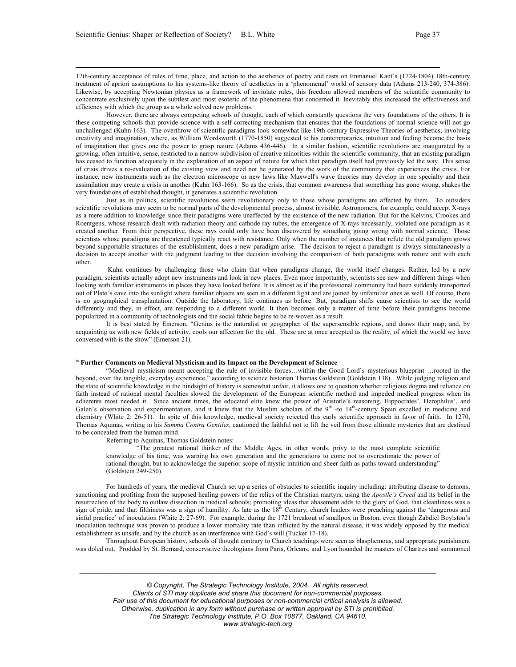17th-century acceptance of rules of time, place, and action to the aesthetics of poetry and rests on Immanuel Kant's (1724-1804) 18th-century treatment of apriori assumptions to his systems-like theory of aesthetics in a 'phenomenal' world of sensory data (Adams 213-240, 374-386). Likewise, by accepting Newtonian physics as a framework of inviolate rules, this freedom allowed members of the scientific community to concentrate exclusively upon the subtlest and most esoteric of the phenomena that concerned it. Inevitably this increased the effectiveness and efficiency with which the group as a whole solved new problems.

However, there are always competing schools of thought, each of which constantly questions the very foundations of the others. It is these competing schools that provide science with a self-correcting mechanism that ensures that the foundations of normal science will not go unchallenged (Kuhn 163). The overthrow of scientific paradigms look somewhat like 19th-century Expressive Theories of aesthetics, involving creativity and imagination, where, as William Wordsworth (1770-1850) suggested to his contemporaries, intuition and feeling become the basis of imagination that gives one the power to grasp nature (Adams 436-446). In a similar fashion, scientific revolutions are inaugurated by a growing, often intuitive, sense, restricted to a narrow subdivision of creative minorities within the scientific community, that an existing paradigm has ceased to function adequately in the explanation of an aspect of nature for which that paradigm itself had previously led the way. This sense of crisis drives a re-evaluation of the existing view and need not be generated by the work of the community that experiences the crisis. For instance, new instruments such as the electron microscope or new laws like Maxwell's wave theories may develop in one specialty and their assimilation may create a crisis in another (Kuhn 163-166). So as the crisis, that common awareness that something has gone wrong, shakes the very foundations of established thought, it generates a scientific revolution.

Just as in politics, scientific revolutions seem revolutionary only to those whose paradigms are affected by them. To outsiders scientific revolutions may seem to be normal parts of the developmental process, almost invisible. Astronomers, for example, could accept X-rays as a mere addition to knowledge since their paradigms were unaffected by the existence of the new radiation. But for the Kelvins, Crookes and Roentgens, whose research dealt with radiation theory and cathode ray tubes, the emergence of X-rays necessarily, violated one paradigm as it created another. From their perspective, these rays could only have been discovered by something going wrong with normal science. Those scientists whose paradigms are threatened typically react with resistance. Only when the number of instances that refute the old paradigm grows beyond supportable structures of the establishment, does a new paradigm arise. The decision to reject a paradigm is always simultaneously a decision to accept another with the judgment leading to that decision involving the comparison of both paradigms with nature and with each other.

 Kuhn continues by challenging those who claim that when paradigms change, the world itself changes. Rather, led by a new paradigm, scientists actually adopt new instruments and look in new places. Even more importantly, scientists see new and different things when looking with familiar instruments in places they have looked before. It is almost as if the professional community had been suddenly transported out of Plato's cave into the sunlight where familiar objects are seen in a different light and are joined by unfamiliar ones as well. Of course, there is no geographical transplantation. Outside the laboratory, life continues as before. But, paradigm shifts cause scientists to see the world differently and they, in effect, are responding to a different world. It then becomes only a matter of time before their paradigms become popularized in a community of technologists and the social fabric begins to be re-woven as a result.

It is best stated by Emerson, "Genius is the naturalist or geographer of the supersensible regions, and draws their map; and, by acquainting us with new fields of activity, cools our affection for the old. These are at once accepted as the reality, of which the world we have conversed with is the show" (Emerson 21).

#### ix **Further Comments on Medieval Mysticism and its Impact on the Development of Science**

"Medieval mysticism meant accepting the rule of invisible forces…within the Good Lord's mysterious blueprint …rooted in the beyond, over the tangible, everyday experience," according to science historian Thomas Goldstein (Goldstein 138). While judging religion and the state of scientific knowledge in the hindsight of history is somewhat unfair, it allows one to question whether religious dogma and reliance on faith instead of rational mental faculties slowed the development of the European scientific method and impeded medical progress when its adherents most needed it. Since ancient times, the educated elite knew the power of Aristotle's reasoning, Hippocrates', Herophilus', and Galen's observation and experimentation, and it knew that the Muslim scholars of the  $9<sup>th</sup>$  -to  $14<sup>th</sup>$ -century Spain excelled in medicine and chemistry (White 2: 26-51). In spite of this knowledge, medieval society rejected this early scientific approach in favor of faith. In 1270, Thomas Aquinas, writing in his *Summa Contra Gentiles*, cautioned the faithful not to lift the veil from those ultimate mysteries that are destined to be concealed from the human mind.

Referring to Aquinas, Thomas Goldstein notes:

"The greatest rational thinker of the Middle Ages, in other words, privy to the most complete scientific knowledge of his time, was warning his own generation and the generations to come not to overestimate the power of rational thought, but to acknowledge the superior scope of mystic intuition and sheer faith as paths toward understanding" (Goldstein 249-250).

For hundreds of years, the medieval Church set up a series of obstacles to scientific inquiry including: attributing disease to demons; sanctioning and profiting from the supposed healing powers of the relics of the Christian martyrs; using the *Apostle's Creed* and its belief in the resurrection of the body to outlaw dissection in medical schools; promoting ideas that abasement adds to the glory of God, that cleanliness was a sign of pride, and that filthiness was a sign of humility. As late as the 18<sup>th</sup> Century, church leaders were preaching against the 'dangerous and sinful practice' of inoculation (White 2: 27-69). For example, during the 1721 breakout of smallpox in Boston, even though Zabdiel Boylston's inoculation technique was proven to produce a lower mortality rate than inflicted by the natural disease, it was widely opposed by the medical establishment as unsafe, and by the church as an interference with God's will (Tucker 17-18).

Throughout European history, schools of thought contrary to Church teachings were seen as blasphemous, and appropriate punishment was doled out. Prodded by St. Bernard, conservative theologians from Paris, Orleans, and Lyon hounded the masters of Chartres and summoned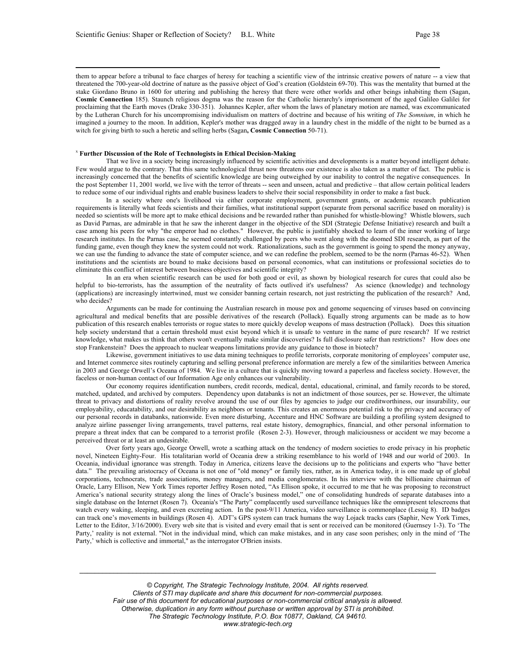them to appear before a tribunal to face charges of heresy for teaching a scientific view of the intrinsic creative powers of nature -- a view that threatened the 700-year-old doctrine of nature as the passive object of God's creation (Goldstein 69-70). This was the mentality that burned at the stake Giordano Bruno in 1600 for uttering and publishing the heresy that there were other worlds and other beings inhabiting them (Sagan, **Cosmic Connection** 185). Staunch religious dogma was the reason for the Catholic hierarchy's imprisonment of the aged Galileo Galilei for proclaiming that the Earth moves (Drake 330-351). Johannes Kepler, after whom the laws of planetary motion are named, was excommunicated by the Lutheran Church for his uncompromising individualism on matters of doctrine and because of his writing of *The Somnium*, in which he imagined a journey to the moon. In addition, Kepler's mother was dragged away in a laundry chest in the middle of the night to be burned as a witch for giving birth to such a heretic and selling herbs (Sagan**, Cosmic Connection** 50-71).

#### <sup>x</sup> **Further Discussion of the Role of Technologists in Ethical Decision-Making**

That we live in a society being increasingly influenced by scientific activities and developments is a matter beyond intelligent debate. Few would argue to the contrary. That this same technological thrust now threatens our existence is also taken as a matter of fact. The public is increasingly concerned that the benefits of scientific knowledge are being outweighed by our inability to control the negative consequences. In the post September 11, 2001 world, we live with the terror of threats -- seen and unseen, actual and predictive – that allow certain political leaders to reduce some of our individual rights and enable business leaders to shelve their social responsibility in order to make a fast buck.

In a society where one's livelihood via either corporate employment, government grants, or academic research publication requirements is literally what feeds scientists and their families, what institutional support (separate from personal sacrifice based on morality) is needed so scientists will be more apt to make ethical decisions and be rewarded rather than punished for whistle-blowing? Whistle blowers, such as David Parnas, are admirable in that he saw the inherent danger in the objective of the SDI (Strategic Defense Initiative) research and built a case among his peers for why "the emperor had no clothes." However, the public is justifiably shocked to learn of the inner working of large research institutes. In the Parnas case, he seemed constantly challenged by peers who went along with the doomed SDI research, as part of the funding game, even though they knew the system could not work. Rationalizations, such as the government is going to spend the money anyway, we can use the funding to advance the state of computer science, and we can redefine the problem, seemed to be the norm (Parnas 46-52). When institutions and the scientists are bound to make decisions based on personal economics, what can institutions or professional societies do to eliminate this conflict of interest between business objectives and scientific integrity?

In an era when scientific research can be used for both good or evil, as shown by biological research for cures that could also be helpful to bio-terrorists, has the assumption of the neutrality of facts outlived it's usefulness? As science (knowledge) and technology (applications) are increasingly intertwined, must we consider banning certain research, not just restricting the publication of the research? And, who decides?

Arguments can be made for continuing the Australian research in mouse pox and genome sequencing of viruses based on convincing agricultural and medical benefits that are possible derivatives of the research (Pollack). Equally strong arguments can be made as to how publication of this research enables terrorists or rogue states to more quickly develop weapons of mass destruction (Pollack). Does this situation help society understand that a certain threshold must exist beyond which it is unsafe to venture in the name of pure research? If we restrict knowledge, what makes us think that others won't eventually make similar discoveries? Is full disclosure safer than restrictions? How does one stop Frankenstein? Does the approach to nuclear weapons limitations provide any guidance to those in biotech?

Likewise, government initiatives to use data mining techniques to profile terrorists, corporate monitoring of employees' computer use, and Internet commerce sites routinely capturing and selling personal preference information are merely a few of the similarities between America in 2003 and George Orwell's Oceana of 1984. We live in a culture that is quickly moving toward a paperless and faceless society. However, the faceless or non-human contact of our Information Age only enhances our vulnerability.

Our economy requires identification numbers, credit records, medical, dental, educational, criminal, and family records to be stored, matched, updated, and archived by computers. Dependency upon databanks is not an indictment of those sources, per se. However, the ultimate threat to privacy and distortions of reality revolve around the use of our files by agencies to judge our creditworthiness, our insurability, our employability, educatability, and our desirability as neighbors or tenants. This creates an enormous potential risk to the privacy and accuracy of our personal records in databanks, nationwide. Even more disturbing, Accenture and HNC Software are building a profiling system designed to analyze airline passenger living arrangements, travel patterns, real estate history, demographics, financial, and other personal information to prepare a threat index that can be compared to a terrorist profile (Rosen 2-3). However, through maliciousness or accident we may become a perceived threat or at least an undesirable.

Over forty years ago, George Orwell, wrote a scathing attack on the tendency of modern societies to erode privacy in his prophetic novel, Nineteen Eighty-Four. His totalitarian world of Oceania drew a striking resemblance to his world of 1948 and our world of 2003. In Oceania, individual ignorance was strength. Today in America, citizens leave the decisions up to the politicians and experts who "have better data." The prevailing aristocracy of Oceana is not one of "old money" or family ties, rather, as in America today, it is one made up of global corporations, technocrats, trade associations, money managers, and media conglomerates. In his interview with the billionaire chairman of Oracle, Larry Ellison, New York Times reporter Jeffrey Rosen noted, "As Ellison spoke, it occurred to me that he was proposing to reconstruct America's national security strategy along the lines of Oracle's business model," one of consolidating hundreds of separate databases into a single database on the Internet (Rosen 7). Oceania's "The Party" complacently used surveillance techniques like the omnipresent telescreens that watch every waking, sleeping, and even excreting action. In the post-9/11 America, video surveillance is commonplace (Lessig 8). ID badges can track one's movements in buildings (Rosen 4). ADT's GPS system can track humans the way Lojack tracks cars (Saphir, New York Times, Letter to the Editor, 3/16/2000). Every web site that is visited and every email that is sent or received can be monitored (Guernsey 1-3). To 'The Party,' reality is not external. "Not in the individual mind, which can make mistakes, and in any case soon perishes; only in the mind of 'The Party,' which is collective and immortal," as the interrogator O'Brien insists.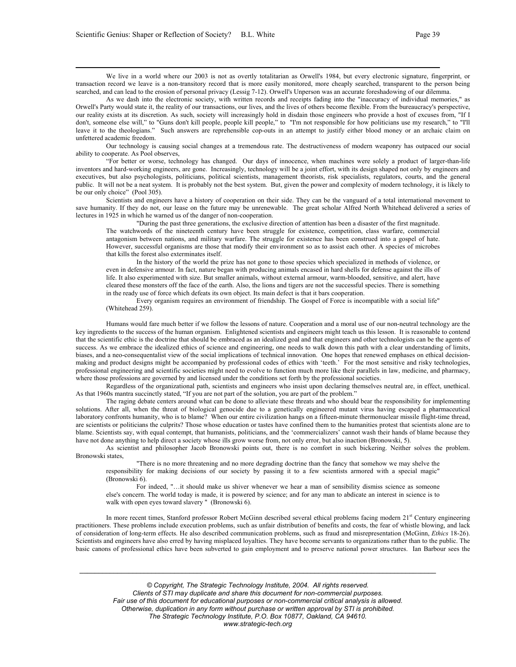We live in a world where our 2003 is not as overtly totalitarian as Orwell's 1984, but every electronic signature, fingerprint, or transaction record we leave is a non-transitory record that is more easily monitored, more cheaply searched, transparent to the person being searched, and can lead to the erosion of personal privacy (Lessig 7-12). Orwell's Unperson was an accurate foreshadowing of our dilemma.

As we dash into the electronic society, with written records and receipts fading into the "inaccuracy of individual memories," as Orwell's Party would state it, the reality of our transactions, our lives, and the lives of others become flexible. From the bureaucracy's perspective, our reality exists at its discretion. As such, society will increasingly hold in disdain those engineers who provide a host of excuses from, "If I don't, someone else will," to "Guns don't kill people, people kill people," to "I'm not responsible for how politicians use my research," to "I'll leave it to the theologians." Such answers are reprehensible cop-outs in an attempt to justify either blood money or an archaic claim on unfettered academic freedom.

Our technology is causing social changes at a tremendous rate. The destructiveness of modern weaponry has outpaced our social ability to cooperate. As Pool observes,

"For better or worse, technology has changed. Our days of innocence, when machines were solely a product of larger-than-life inventors and hard-working engineers, are gone. Increasingly, technology will be a joint effort, with its design shaped not only by engineers and executives, but also psychologists, politicians, political scientists, management theorists, risk specialists, regulators, courts, and the general public. It will not be a neat system. It is probably not the best system. But, given the power and complexity of modern technology, it is likely to be our only choice" (Pool 305).

Scientists and engineers have a history of cooperation on their side. They can be the vanguard of a total international movement to save humanity. If they do not, our lease on the future may be unrenewable. The great scholar Alfred North Whitehead delivered a series of lectures in 1925 in which he warned us of the danger of non-cooperation.

"During the past three generations, the exclusive direction of attention has been a disaster of the first magnitude. The watchwords of the nineteenth century have been struggle for existence, competition, class warfare, commercial antagonism between nations, and military warfare. The struggle for existence has been construed into a gospel of hate. However, successful organisms are those that modify their environment so as to assist each other. A species of microbes that kills the forest also exterminates itself.

In the history of the world the prize has not gone to those species which specialized in methods of violence, or even in defensive armour. In fact, nature began with producing animals encased in hard shells for defense against the ills of life. It also experimented with size. But smaller animals, without external armour, warm-blooded, sensitive, and alert, have cleared these monsters off the face of the earth. Also, the lions and tigers are not the successful species. There is something in the ready use of force which defeats its own object. Its main defect is that it bars cooperation.

Every organism requires an environment of friendship. The Gospel of Force is incompatible with a social life" (Whitehead 259).

Humans would fare much better if we follow the lessons of nature. Cooperation and a moral use of our non-neutral technology are the key ingredients to the success of the human organism. Enlightened scientists and engineers might teach us this lesson. It is reasonable to contend that the scientific ethic is the doctrine that should be embraced as an idealized goal and that engineers and other technologists can be the agents of success. As we embrace the idealized ethics of science and engineering, one needs to walk down this path with a clear understanding of limits, biases, and a neo-consequentalist view of the social implications of technical innovation. One hopes that renewed emphases on ethical decisionmaking and product designs might be accompanied by professional codes of ethics with 'teeth.' For the most sensitive and risky technologies, professional engineering and scientific societies might need to evolve to function much more like their parallels in law, medicine, and pharmacy, where those professions are governed by and licensed under the conditions set forth by the professional societies.

Regardless of the organizational path, scientists and engineers who insist upon declaring themselves neutral are, in effect, unethical. As that 1960s mantra succinctly stated, "If you are not part of the solution, you are part of the problem."

The raging debate centers around what can be done to alleviate these threats and who should bear the responsibility for implementing solutions. After all, when the threat of biological genocide due to a genetically engineered mutant virus having escaped a pharmaceutical laboratory confronts humanity, who is to blame? When our entire civilization hangs on a fifteen-minute thermonuclear missile flight-time thread, are scientists or politicians the culprits? Those whose education or tastes have confined them to the humanities protest that scientists alone are to blame. Scientists say, with equal contempt, that humanists, politicians, and the 'commercializers' cannot wash their hands of blame because they have not done anything to help direct a society whose ills grow worse from, not only error, but also inaction (Bronowski, 5).

As scientist and philosopher Jacob Bronowski points out, there is no comfort in such bickering. Neither solves the problem. Bronowski states,

"There is no more threatening and no more degrading doctrine than the fancy that somehow we may shelve the responsibility for making decisions of our society by passing it to a few scientists armored with a special magic" (Bronowski 6).

For indeed, "…it should make us shiver whenever we hear a man of sensibility dismiss science as someone else's concern. The world today is made, it is powered by science; and for any man to abdicate an interest in science is to walk with open eyes toward slavery " (Bronowski 6).

In more recent times, Stanford professor Robert McGinn described several ethical problems facing modern 21<sup>st</sup> Century engineering practitioners. These problems include execution problems, such as unfair distribution of benefits and costs, the fear of whistle blowing, and lack of consideration of long-term effects. He also described communication problems, such as fraud and misrepresentation (McGinn, *Ethics* 18-26). Scientists and engineers have also erred by having misplaced loyalties. They have become servants to organizations rather than to the public. The basic canons of professional ethics have been subverted to gain employment and to preserve national power structures. Ian Barbour sees the